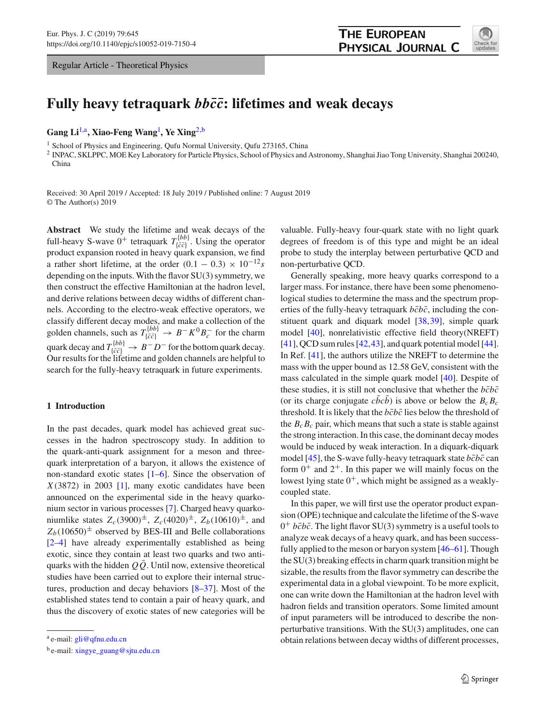Regular Article - Theoretical Physics



# **Fully heavy tetraquark** *bbc***¯***c***¯: lifetimes and weak decays**

**Gang Li**[1,](#page-0-0)a**, Xiao-Feng Wang**[1](#page-0-0) **, Ye Xing**[2,](#page-0-0)b

<sup>1</sup> School of Physics and Engineering, Qufu Normal University, Qufu 273165, China

<sup>2</sup> INPAC, SKLPPC, MOE Key Laboratory for Particle Physics, School of Physics and Astronomy, Shanghai Jiao Tong University, Shanghai 200240, China

Received: 30 April 2019 / Accepted: 18 July 2019 / Published online: 7 August 2019 © The Author(s) 2019

**Abstract** We study the lifetime and weak decays of the full-heavy S-wave  $0^+$  tetraquark  $T_{\{\bar{c}\bar{c}\}}^{[bb]}$ . Using the operator product expansion rooted in heavy quark expansion, we find a rather short lifetime, at the order  $(0.1 - 0.3) \times 10^{-12}s$ depending on the inputs. With the flavor SU(3) symmetry, we then construct the effective Hamiltonian at the hadron level, and derive relations between decay widths of different channels. According to the electro-weak effective operators, we classify different decay modes, and make a collection of the golden channels, such as  $T^{\{bb\}}_{\{\bar{c}\bar{c}\}} \to B^- K^0 B^-_c$  for the charm quark decay and  $T_{\{\bar{c}\bar{c}\}}^{[bb]} \rightarrow B^- D^-$  for the bottom quark decay. Our results for the lifetime and golden channels are helpful to search for the fully-heavy tetraquark in future experiments.

## **1 Introduction**

In the past decades, quark model has achieved great successes in the hadron spectroscopy study. In addition to the quark-anti-quark assignment for a meson and threequark interpretation of a baryon, it allows the existence of non-standard exotic states [\[1](#page-10-0)[–6](#page-10-1)]. Since the observation of *X*(3872) in 2003 [\[1\]](#page-10-0), many exotic candidates have been announced on the experimental side in the heavy quarkonium sector in various processes [\[7](#page-10-2)]. Charged heavy quarkoniumlike states  $Z_c(3900)^{\pm}$ ,  $Z_c(4020)^{\pm}$ ,  $Z_b(10610)^{\pm}$ , and  $Z_b(10650)^{\pm}$  observed by BES-III and Belle collaborations [\[2](#page-10-3)[–4](#page-10-4)] have already experimentally established as being exotic, since they contain at least two quarks and two antiquarks with the hidden  $Q\bar{Q}$ . Until now, extensive theoretical studies have been carried out to explore their internal structures, production and decay behaviors [\[8](#page-10-5)[–37](#page-11-0)]. Most of the established states tend to contain a pair of heavy quark, and thus the discovery of exotic states of new categories will be

<span id="page-0-0"></span>valuable. Fully-heavy four-quark state with no light quark degrees of freedom is of this type and might be an ideal probe to study the interplay between perturbative QCD and non-perturbative QCD.

Generally speaking, more heavy quarks correspond to a larger mass. For instance, there have been some phenomenological studies to determine the mass and the spectrum properties of the fully-heavy tetraquark  $b\bar{c}b\bar{c}$ , including the constituent quark and diquark model [\[38](#page-11-1)[,39](#page-11-2)], simple quark model [\[40\]](#page-11-3), nonrelativistic effective field theory(NREFT)  $[41]$  $[41]$ , QCD sum rules  $[42, 43]$  $[42, 43]$  $[42, 43]$ , and quark potential model  $[44]$  $[44]$ . In Ref. [\[41](#page-11-4)], the authors utilize the NREFT to determine the mass with the upper bound as 12.58 GeV, consistent with the mass calculated in the simple quark model [\[40\]](#page-11-3). Despite of these studies, it is still not conclusive that whether the  $b\bar{c}b\bar{c}$ (or its charge conjugate *cbcb*) is above or below the  $B_cB_c$ threshold. It is likely that the  $b\bar{c}b\bar{c}$  lies below the threshold of the  $B_c B_c$  pair, which means that such a state is stable against the strong interaction. In this case, the dominant decay modes would be induced by weak interaction. In a diquark-diquark model [\[45](#page-11-8)], the S-wave fully-heavy tetraquark state  $b\bar{c}b\bar{c}$  can form  $0^+$  and  $2^+$ . In this paper we will mainly focus on the lowest lying state  $0^+$ , which might be assigned as a weaklycoupled state.

In this paper, we will first use the operator product expansion (OPE) technique and calculate the lifetime of the S-wave  $0^+$  *bcbc*. The light flavor SU(3) symmetry is a useful tools to analyze weak decays of a heavy quark, and has been successfully applied to the meson or baryon system [\[46](#page-11-9)[–61\]](#page-11-10). Though the SU(3) breaking effects in charm quark transition might be sizable, the results from the flavor symmetry can describe the experimental data in a global viewpoint. To be more explicit, one can write down the Hamiltonian at the hadron level with hadron fields and transition operators. Some limited amount of input parameters will be introduced to describe the nonperturbative transitions. With the SU(3) amplitudes, one can obtain relations between decay widths of different processes,

a e-mail: [gli@qfnu.edu.cn](mailto:gli@qfnu.edu.cn)

<sup>b</sup> e-mail: [xingye\\_guang@sjtu.edu.cn](mailto:xingye_guang@sjtu.edu.cn)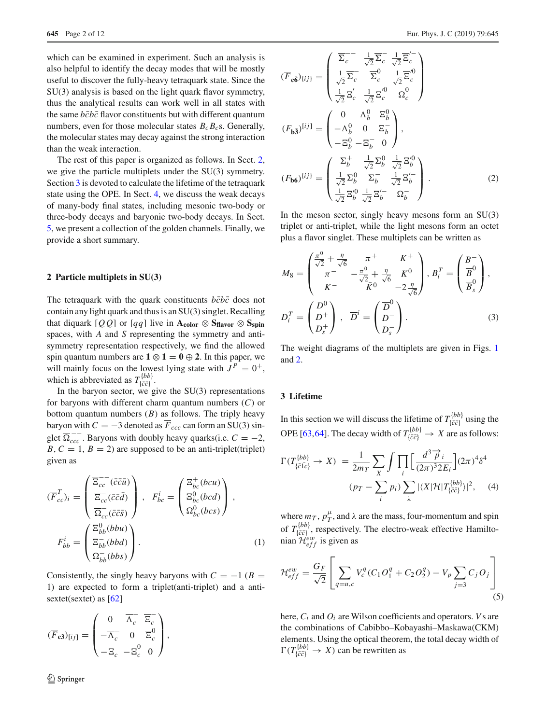which can be examined in experiment. Such an analysis is also helpful to identify the decay modes that will be mostly useful to discover the fully-heavy tetraquark state. Since the SU(3) analysis is based on the light quark flavor symmetry, thus the analytical results can work well in all states with the same  $b\bar{c}b\bar{c}$  flavor constituents but with different quantum numbers, even for those molecular states  $B_c B_c$ s. Generally, the molecular states may decay against the strong interaction than the weak interaction.

The rest of this paper is organized as follows. In Sect. [2,](#page-1-0) we give the particle multiplets under the SU(3) symmetry. Section [3](#page-1-1) is devoted to calculate the lifetime of the tetraquark state using the OPE. In Sect. [4,](#page-3-0) we discuss the weak decays of many-body final states, including mesonic two-body or three-body decays and baryonic two-body decays. In Sect. [5,](#page-9-0) we present a collection of the golden channels. Finally, we provide a short summary.

#### <span id="page-1-0"></span>**2 Particle multiplets in SU(3)**

The tetraquark with the quark constituents  $b\bar{c}b\bar{c}$  does not contain any light quark and thus is an SU(3) singlet. Recalling that diquark  $[QQ]$  or  $[qq]$  live in  $A_{color} \otimes S_{flavor} \otimes S_{spin}$ spaces, with *A* and *S* representing the symmetry and antisymmetry representation respectively, we find the allowed spin quantum numbers are  $1 \otimes 1 = 0 \oplus 2$ . In this paper, we will mainly focus on the lowest lying state with  $J^P = 0^+$ , which is abbreviated as  $T^{\{bb\}}_{\{\bar{c}\bar{c}\}}$ .

In the baryon sector, we give the  $SU(3)$  representations for baryons with different charm quantum numbers (*C*) or bottom quantum numbers (*B*) as follows. The triply heavy baryon with  $C = -3$  denoted as  $\overline{F}_{ccc}$  can form an SU(3) singlet  $\overline{\Omega}_{ccc}^{--}$ . Baryons with doubly heavy quarks(i.e.  $C = -2$ ,  $B, C = 1, B = 2$ ) are supposed to be an anti-triplet(triplet) given as

$$
(\overline{F}_{cc}^T)_i = \begin{pmatrix} \overline{\Xi}_{cc}^{-} (\bar{c} \bar{c} \bar{u}) \\ \overline{\Xi}_{cc}^{-} (\bar{c} \bar{c} \bar{d}) \\ \overline{\Xi}_{cc}^{-} (\bar{c} \bar{c} \bar{d}) \end{pmatrix}, \quad F_{bc}^i = \begin{pmatrix} \Xi_{bc}^+(bcu) \\ \Xi_{bc}^0(bcd) \\ \Omega_{bc}^0(bcs) \end{pmatrix},
$$

$$
F_{bb}^i = \begin{pmatrix} \Xi_{bb}^0(bbu) \\ \Xi_{bb}^-(bbd) \\ \Omega_{bb}^-(bbs) \end{pmatrix}.
$$
 (1)

Consistently, the singly heavy baryons with  $C = -1$  ( $B =$ 1) are expected to form a triplet(anti-triplet) and a anti-sextet(sextet) as [\[62](#page-11-11)]

$$
(\overline{F}_{c3})_{[ij]} = \begin{pmatrix} 0 & \overline{\Lambda}_c^- & \overline{\Xi}_c^- \\ -\overline{\Lambda}_c^- & 0 & \overline{\Xi}_c^0 \\ -\overline{\Xi}_c^- & -\overline{\Xi}_c^0 & 0 \end{pmatrix},
$$

$$
(\overline{F}_{\mathbf{c}\vec{\mathbf{b}}})_{\{ij\}} = \begin{pmatrix} \overline{\Sigma_c}^{-1} & \frac{1}{\sqrt{2}} \overline{\Sigma_c} & \frac{1}{\sqrt{2}} \overline{\Xi_c}^{-1} \\ \frac{1}{\sqrt{2}} \overline{\Sigma_c} & \overline{\Sigma_c}^{0} & \frac{1}{\sqrt{2}} \overline{\Xi_c}^{0} \\ \frac{1}{\sqrt{2}} \overline{\Xi_c}^{'} & \frac{1}{\sqrt{2}} \overline{\Xi_c}^{0} & \overline{\Omega_c}^{0} \end{pmatrix}
$$

$$
(F_{\mathbf{b}\vec{a}})^{[ij]} = \begin{pmatrix} 0 & \Lambda_b^0 & \Xi_b^0 \\ -\Lambda_b^0 & 0 & \Xi_b^- \\ -\Xi_b^0 - \Xi_b^- & 0 \end{pmatrix},
$$

$$
(F_{\mathbf{b}\vec{\mathbf{b}}})^{[ij]} = \begin{pmatrix} \Sigma_b^+ & \frac{1}{\sqrt{2}} \Sigma_b^0 & \frac{1}{\sqrt{2}} \Xi_b^{'0} \\ \frac{1}{\sqrt{2}} \Sigma_b^0 & \Sigma_b^- & \frac{1}{\sqrt{2}} \Xi_b^{'-} \\ \frac{1}{\sqrt{2}} \Xi_b^{'0} & \overline{\Sigma_b}^- & \frac{1}{\sqrt{2}} \Xi_b^{'-} \\ \frac{1}{\sqrt{2}} \Xi_b^{'0} & \overline{\Sigma_b}^- & \Omega_b^- \end{pmatrix}.
$$
(2)

In the meson sector, singly heavy mesons form an  $SU(3)$ triplet or anti-triplet, while the light mesons form an octet plus a flavor singlet. These multiplets can be written as

$$
M_8 = \begin{pmatrix} \frac{\pi^0}{\sqrt{2}} + \frac{\eta}{\sqrt{6}} & \pi^+ & K^+ \\ \pi^- & -\frac{\pi^0}{\sqrt{2}} + \frac{\eta}{\sqrt{6}} & K^0 \\ K^- & \bar{K}^0 & -2\frac{\eta}{\sqrt{6}} \end{pmatrix}, B_i^T = \begin{pmatrix} B^- \\ \overline{B}^0 \\ \overline{B}_s^0 \end{pmatrix},
$$
  

$$
D_i^T = \begin{pmatrix} D^0 \\ D^+ \\ D_s^+ \end{pmatrix}, \ \ \overline{D}^i = \begin{pmatrix} \overline{D}^0 \\ D^- \\ D_s^- \end{pmatrix}.
$$
 (3)

The weight diagrams of the multiplets are given in Figs. [1](#page-2-0) and [2.](#page-2-1)

#### <span id="page-1-1"></span>**3 Lifetime**

In this section we will discuss the lifetime of  $T_{\{\bar{c}\bar{c}\}}^{\{bb\{bb}}\}$  using the OPE [\[63](#page-11-12),[64\]](#page-11-13). The decay width of  $T_{\{\bar{c}\bar{c}\}}^{ \{bb\} } \rightarrow X$  are as follows:

$$
\Gamma(T_{\{\bar{c}\,l c\}}^{ \{bb)} \to X) = \frac{1}{2m_T} \sum_{X} \int \prod_{i} \left[ \frac{d^3 \overrightarrow{p}_i}{(2\pi)^3 2E_i} \right] (2\pi)^4 \delta^4
$$
\n
$$
(p_T - \sum_{i} p_i) \sum_{\lambda} |\langle X | \mathcal{H} | T_{\{\bar{c}\bar{c}\}}^{ \{bb)} \rangle|^2, \quad (4)
$$

where  $m_T$ ,  $p_T^{\mu}$ , and  $\lambda$  are the mass, four-momentum and spin of  $T^{\{bb\}}_{\{\bar{c}\bar{c}\}}$ , respectively. The electro-weak effective Hamiltonian  $\mathcal{H}_{eff}^{ew}$  is given as

$$
\mathcal{H}_{eff}^{ew} = \frac{G_F}{\sqrt{2}} \left[ \sum_{q=u,c} V_c^q (C_1 O_1^q + C_2 O_2^q) - V_p \sum_{j=3} C_j O_j \right]
$$
(5)

here, *Ci* and *Oi* are Wilson coefficients and operators. *V*s are the combinations of Cabibbo–Kobayashi–Maskawa(CKM) elements. Using the optical theorem, the total decay width of  $\Gamma(T^{\{bb\}}_{\{\bar{c}\bar{c}\}} \to X)$  can be rewritten as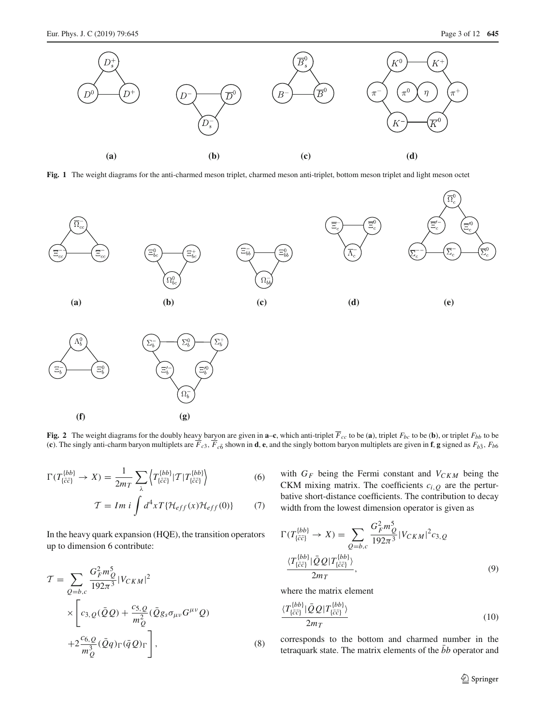

<span id="page-2-0"></span>**Fig. 1** The weight diagrams for the anti-charmed meson triplet, charmed meson anti-triplet, bottom meson triplet and light meson octet



<span id="page-2-1"></span>**Fig. 2** The weight diagrams for the doubly heavy baryon are given in **a–c**, which anti-triplet  $F_{cc}$  to be (**a**), triplet  $F_{bc}$  to be (**b**), or triplet  $F_{bb}$  to be (c). The singly anti-charm baryon multiplets are  $F_{c3}$ ,  $F_{c\bar{6}}$  shown in **d**, **e**, and the singly bottom baryon multiplets are given in **f**, **g** signed as  $F_{b\bar{3}}$ ,  $F_{b\bar{6}}$ 

$$
\Gamma(T_{\{\bar{c}\bar{c}\}}^{ \{bb)} \to X) = \frac{1}{2m_T} \sum_{\lambda} \left\langle T_{\{\bar{c}\bar{c}\}}^{ \{bb)} | T | T_{\{\bar{c}\bar{c}\}}^{ \{bb)} \right\rangle \tag{6}
$$

$$
\mathcal{T} = Im \, i \int d^4x T \{ \mathcal{H}_{eff}(x) \mathcal{H}_{eff}(0) \} \tag{7}
$$

In the heavy quark expansion (HQE), the transition operators up to dimension 6 contribute:

$$
\mathcal{T} = \sum_{Q=b,c} \frac{G_F^2 m_Q^5}{192\pi^3} |V_{CKM}|^2
$$
  
 
$$
\times \left[ c_{3,Q}(\bar{Q}Q) + \frac{c_{5,Q}}{m_Q^2} (\bar{Q}g_s \sigma_{\mu\nu} G^{\mu\nu} Q) + 2 \frac{c_{6,Q}}{m_Q^3} (\bar{Q}q)_{\Gamma} (\bar{q}Q)_{\Gamma} \right],
$$
 (8)

with  $G_F$  being the Fermi constant and  $V_{CKM}$  being the CKM mixing matrix. The coefficients  $c_{i,0}$  are the perturbative short-distance coefficients. The contribution to decay width from the lowest dimension operator is given as

$$
\Gamma(T_{\{\bar{c}\bar{c}\}}^{(bb)} \to X) = \sum_{Q=b,c} \frac{G_F^2 m_Q^5}{192\pi^3} |V_{CKM}|^2 c_{3,Q}
$$

$$
\frac{\langle T_{\{\bar{c}\bar{c}\}}^{(bb)}|\bar{Q}Q|T_{\{\bar{c}\bar{c}\}}^{(bb)}\rangle}{2m_T},
$$
(9)

where the matrix element

$$
\frac{\langle T^{\{bb\}}_{\{\bar{c}\bar{c}\}}|\bar{Q}Q|T^{\{bb\}}_{\{\bar{c}\bar{c}\}}\rangle}{2m_T} \tag{10}
$$

corresponds to the bottom and charmed number in the tetraquark state. The matrix elements of the  $\bar{b}b$  operator and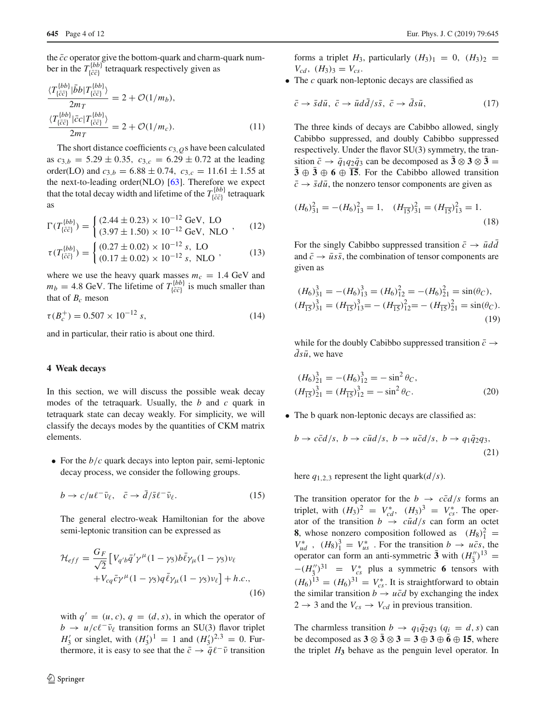the  $\bar{c}c$  operator give the bottom-quark and charm-quark number in the  $T_{\{\bar{c}\bar{c}\}}^{(bb)}$  tetraquark respectively given as

$$
\frac{\langle T^{\{bb\}}_{\{\bar{c}\bar{c}\}}|\bar{b}b|T^{\{bb\}}_{\{\bar{c}\bar{c}\}}\rangle}{2m_T} = 2 + \mathcal{O}(1/m_b),
$$
\n
$$
\frac{\langle T^{\{bb\}}_{\{\bar{c}\bar{c}\}}|\bar{c}c|T^{\{bb\}}_{\{\bar{c}\bar{c}\}}\rangle}{2m_T} = 2 + \mathcal{O}(1/m_c).
$$
\n(11)

The short distance coefficients *c*3,*Q*s have been calculated as  $c_{3,b} = 5.29 \pm 0.35$ ,  $c_{3,c} = 6.29 \pm 0.72$  at the leading order(LO) and  $c_{3,b} = 6.88 \pm 0.74$ ,  $c_{3,c} = 11.61 \pm 1.55$  at the next-to-leading order(NLO) [\[63\]](#page-11-12). Therefore we expect that the total decay width and lifetime of the  $T_{\{\bar{c}\bar{c}\}}^{ \{bb\} }$  tetraquark as

$$
\Gamma(T_{\{\bar{c}\bar{c}\}}^{(bb)} = \begin{cases} (2.44 \pm 0.23) \times 10^{-12} \text{ GeV, LO} \\ (3.97 \pm 1.50) \times 10^{-12} \text{ GeV, NLO} \end{cases}, (12)
$$

$$
\tau(T_{\{\bar{c}\bar{c}\}}^{ \{bb\}}) = \begin{cases} (0.27 \pm 0.02) \times 10^{-12} \, \text{s, LO} \\ (0.17 \pm 0.02) \times 10^{-12} \, \text{s, NLO} \end{cases}, \tag{13}
$$

where we use the heavy quark masses  $m_c = 1.4$  GeV and  $m_b = 4.8$  GeV. The lifetime of  $T_{\{\bar{c}\bar{c}\}}^{[bb]}$  is much smaller than that of  $B_c$  meson

$$
\tau(B_c^+) = 0.507 \times 10^{-12} \,\mathrm{s},\tag{14}
$$

and in particular, their ratio is about one third.

#### <span id="page-3-0"></span>**4 Weak decays**

In this section, we will discuss the possible weak decay modes of the tetraquark. Usually, the *b* and *c* quark in tetraquark state can decay weakly. For simplicity, we will classify the decays modes by the quantities of CKM matrix elements.

• For the *b*/*c* quark decays into lepton pair, semi-leptonic decay process, we consider the following groups.

$$
b \to c/u\ell^-\bar{\nu}_\ell, \quad \bar{c} \to d/\bar{s}\ell^-\bar{\nu}_\ell. \tag{15}
$$

The general electro-weak Hamiltonian for the above semi-leptonic transition can be expressed as

$$
\mathcal{H}_{eff} = \frac{G_F}{\sqrt{2}} \left[ V_{q'b}\bar{q}'\gamma^{\mu}(1-\gamma_5)b\bar{\ell}\gamma_{\mu}(1-\gamma_5)\nu_{\ell} + V_{cq}\bar{c}\gamma^{\mu}(1-\gamma_5)q\bar{\ell}\gamma_{\mu}(1-\gamma_5)\nu_{\ell} \right] + h.c.,
$$
\n(16)

with  $q' = (u, c), q = (d, s)$ , in which the operator of  $b \rightarrow u/c\ell^-\bar{\nu}_\ell$  transition forms an SU(3) flavor triplet  $H_3'$  or singlet, with  $(H_3')^1 = 1$  and  $(H_3')^{2,3} = 0$ . Furthermore, it is easy to see that the  $\bar{c} \rightarrow \bar{q} \ell^{-} \bar{\nu}$  transition forms a triplet  $H_3$ , particularly  $(H_3)_{1} = 0$ ,  $(H_3)_{2} =$  $V_{cd}$ ,  $(H_3)_3 = V_{cs}$ .

• The *c* quark non-leptonic decays are classified as

$$
\bar{c} \to \bar{s}d\bar{u}, \ \bar{c} \to \bar{u}dd/s\bar{s}, \ \bar{c} \to ds\bar{u}, \tag{17}
$$

The three kinds of decays are Cabibbo allowed, singly Cabibbo suppressed, and doubly Cabibbo suppressed respectively. Under the flavor SU(3) symmetry, the transition  $\bar{c} \rightarrow \bar{q}_1 q_2 \bar{q}_3$  can be decomposed as  $\bar{3} \otimes 3 \otimes \bar{3} =$  $\overline{3} \oplus \overline{3} \oplus \overline{6} \oplus \overline{15}$ . For the Cabibbo allowed transition  $\bar{c} \rightarrow \bar{s}d\bar{u}$ , the nonzero tensor components are given as

$$
(H_6)_{31}^2 = -(H_6)_{13}^2 = 1, \quad (H_{\overline{15}})_{31}^2 = (H_{\overline{15}})_{13}^2 = 1.
$$
\n(18)

For the singly Cabibbo suppressed transition  $\bar{c} \rightarrow \bar{u}d\bar{d}$ and  $\bar{c} \rightarrow \bar{u}s\bar{s}$ , the combination of tensor components are given as

$$
(H_6)^3_{31} = -(H_6)^3_{13} = (H_6)^2_{12} = -(H_6)^2_{21} = \sin(\theta_C),
$$
  
\n
$$
(H_{\overline{15}})^3_{31} = (H_{\overline{15}})^3_{13} = -(H_{\overline{15}})^2_{12} = -(H_{\overline{15}})^2_{21} = \sin(\theta_C).
$$
\n(19)

while for the doubly Cabibbo suppressed transition  $\bar{c} \rightarrow$  $ds\bar{u}$ , we have

$$
(H_6)_{21}^3 = -(H_6)_{12}^3 = -\sin^2 \theta_C,
$$
  
\n
$$
(H_{\overline{15}})_{21}^3 = (H_{\overline{15}})_{12}^3 = -\sin^2 \theta_C.
$$
 (20)

• The b quark non-leptonic decays are classified as:

$$
b \to c\bar{c}d/s, \ b \to c\bar{u}d/s, \ b \to u\bar{c}d/s, \ b \to q_1\bar{q}_2q_3,
$$
\n
$$
(21)
$$

here  $q_{1,2,3}$  represent the light quark $(d/s)$ .

The transition operator for the  $b \rightarrow c\bar{c}d/s$  forms an triplet, with  $(H_3)^2 = V_{cd}^*$ ,  $(H_3)^3 = V_{cs}^*$ . The operator of the transition  $b \rightarrow c\bar{u}d/s$  can form an octet **8**, whose nonzero composition followed as  $(H_8)_1^2$  =  $V_{ud}^*$ ,  $(H_8)^3$  =  $V_{us}^*$ . For the transition  $b \rightarrow u\bar{c}s$ , the operator can form an anti-symmetric  $\bar{3}$  with  $(H''_3)^{13}$  =  $-(H_3^{\prime\prime})^{31}$  =  $V_{cs}^*$  plus a symmetric **6** tensors with  $(H_6)^{13} = (H_6)^{31} = V_{cs}^*$ . It is straightforward to obtain the similar transition  $b \rightarrow u\bar{c}d$  by exchanging the index  $2 \rightarrow 3$  and the  $V_{cs} \rightarrow V_{cd}$  in previous transition.

The charmless transition  $b \rightarrow q_1 \bar{q}_2 q_3$  ( $q_i = d, s$ ) can be decomposed as  $3 \otimes \overline{3} \otimes 3 = 3 \oplus 3 \oplus \overline{6} \oplus 15$ , where the triplet  $H_3$  behave as the penguin level operator. In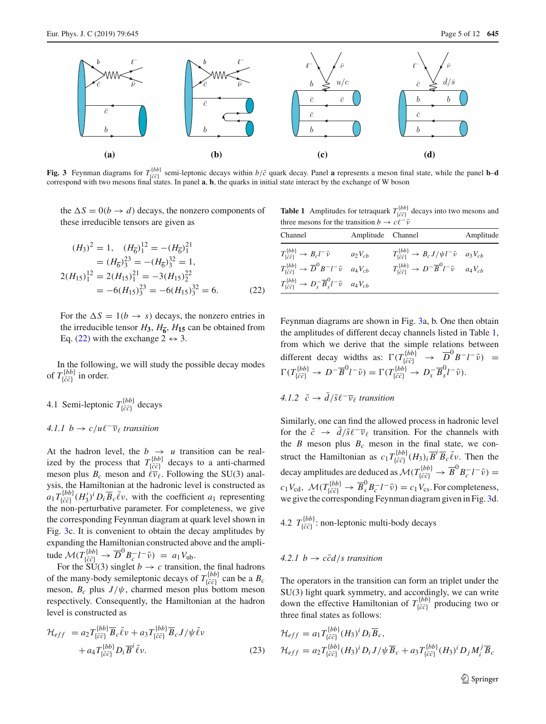

<span id="page-4-1"></span>**Fig. 3** Feynman diagrams for  $T_{[c\bar{c}]}^{(bb)}$  semi-leptonic decays within  $b/\bar{c}$  quark decay. Panel **a** represents a meson final state, while the panel **b**-d correspond with two mesons final states. In panel **a**, **b**,

the  $\Delta S = 0(b \rightarrow d)$  decays, the nonzero components of these irreducible tensors are given as

<span id="page-4-0"></span>
$$
(H_3)^2 = 1, \quad (H_6)^{12} = -(H_6)^{21}
$$
  
=  $(H_6)^{23} = -(H_6)^{32} = 1$ ,  

$$
2(H_{15})^{12} = 2(H_{15})^{21} = -3(H_{15})^{22}
$$
  
=  $-6(H_{15})^{23} = -6(H_{15})^{32} = 6.$  (22)

For the  $\Delta S = 1(b \rightarrow s)$  decays, the nonzero entries in the irreducible tensor  $H_3$ ,  $H_{\overline{6}}$ ,  $H_{15}$  can be obtained from Eq. [\(22\)](#page-4-0) with the exchange  $2 \leftrightarrow 3$ .

In the following, we will study the possible decay modes of  $T^{\{bb\}}_{\{\bar{c}\bar{c}\}}$  in order.

4.1 Semi-leptonic  $T^{\{bb\}}_{\{\bar{c}\bar{c}\}}$  decays

## 4.1.1  $b \rightarrow c/u \ell^{-} \overline{\nu}_{\ell}$  *transition*

At the hadron level, the  $b \rightarrow u$  transition can be realized by the process that  $T_{\{\bar{c}\bar{c}\}}^{ \{bb)}$  decays to a anti-charmed meson plus  $B_c$  meson and  $\ell \overline{\nu}_{\ell}$ . Following the SU(3) analysis, the Hamiltonian at the hadronic level is constructed as  $a_1 T_{\{\bar{c}\bar{c}\}}^{(bb)} (H_3')^i D_i \overline{B}_c \overline{\ell} \nu$ , with the coefficient *a*<sub>1</sub> representing the non-perturbative parameter. For completeness, we give the corresponding Feynman diagram at quark level shown in Fig. [3c](#page-4-1). It is convenient to obtain the decay amplitudes by expanding the Hamiltonian constructed above and the amplitude  $\mathcal{M}(T_{\{\bar{c}\bar{c}\}}^{\{bb}}) \rightarrow \overline{D}^0 B_c^{-} l^{-} \bar{\nu}) = a_1 V_{\text{ub}}.$ 

For the SU(3) singlet  $b \to c$  transition, the final hadrons of the many-body semileptonic decays of  $T_{\{\bar{c}\bar{c}\}}^{ \{bb\} }$  can be a  $B_c$ meson,  $B_c$  plus  $J/\psi$ , charmed meson plus bottom meson respectively. Consequently, the Hamiltonian at the hadron level is constructed as

$$
\mathcal{H}_{eff} = a_2 T_{\{\bar{c}\bar{c}\}}^{(bb)} \overline{B}_c \bar{\ell} \nu + a_3 T_{\{\bar{c}\bar{c}\}}^{(bb)} \overline{B}_c J/\psi \bar{\ell} \nu \n+ a_4 T_{\{\bar{c}\bar{c}\}}^{(bb)} D_i \overline{B}^i \bar{\ell} \nu.
$$
\n(23)

<span id="page-4-2"></span>**Table 1** Amplitudes for tetraquark  $T_{\{\bar{c}\bar{c}\}}^{\{bb}}$  decays into two mesons and three mesons for the transition *b*  $\rightarrow$  *c*<sup> $\ell$ </sup><sup> $\bar{\ell}$ </sup>

| Channel                                                                                             | Amplitude Channel |                                                                                                              | Amplitude |
|-----------------------------------------------------------------------------------------------------|-------------------|--------------------------------------------------------------------------------------------------------------|-----------|
| $T^{\{bb\}}_{\{\bar{c}\bar{c}\}}$ $\rightarrow$ $B_c l^- \bar{\nu}$ $a_2 V_{cb}$                    |                   | $T_{\{\bar{c}\bar{c}\}}^{[bb]} \rightarrow B_c J/\psi l^- \bar{\nu} \quad a_3 V_{cb}$                        |           |
| $T^{\{bb\}}_{\{\bar c \bar c\}} \to \overline{D}^0 B^- l^- \bar{\nu} \quad a_4 V_{cb}$              |                   | $T_{\{\bar{c}\bar{c}\}}^{\{bb\}} \rightarrow D^{-} \overline{B}^{0} l^{-} \overline{\nu} \quad a_{4} V_{cb}$ |           |
| $T^{\{bb\}}_{\{\bar{c}\bar{c}\}} \rightarrow D_s^- \overline{B}_s^0 l^- \bar{\nu} \quad a_4 V_{cb}$ |                   |                                                                                                              |           |

Feynman diagrams are shown in Fig. [3a](#page-4-1), b. One then obtain the amplitudes of different decay channels listed in Table [1,](#page-4-2) from which we derive that the simple relations between different decay widths as:  $\Gamma(T_{\{\bar{c}\bar{c}\}}^{b} \rightarrow \overline{D}^0 B^- l^- \bar{\nu}) =$  $\Gamma(T^{\{bb}}_{\{\bar{c}\bar{c}\}} \to D^{-} \overline{B}^{0} l^{-} \bar{\nu}) = \Gamma(T^{\{bb}}_{\{\bar{c}\bar{c}\}} \to D^{-}_{s} \overline{B}^{0}_{s} l^{-} \bar{\nu}).$ 

*4.1.2*  $\bar{c}$  →  $\bar{d}/\bar{s}$   $\ell$ <sup>−</sup> $\bar{\nu}$  *transition* 

Similarly, one can find the allowed process in hadronic level for the  $\bar{c}$  →  $\bar{d}/\bar{s}\ell^-\bar{\nu}_\ell$  transition. For the channels with the *B* meson plus  $B_c$  meson in the final state, we construct the Hamiltonian as  $c_1 T_{\{\bar{c}\bar{c}\}}^{b} (H_3)_i \overline{B}^i \overline{B}_c \overline{\ell}$ . Then the decay amplitudes are deduced as  $\mathcal{M}(T_{\{\bar{c}\bar{c}\}}^{ \{bb\} }\rightarrow \overline{B}^0 B_c^- l^-\bar{\nu})=$  $c_1 V_{\text{cd}}$ ,  $\mathcal{M}(T_{\{\bar{c}\bar{c}\}}^{ \{bb)} \rightarrow \overline{B}_{s}^{0} B_{c}^{-} l^{-} \bar{\nu}) = c_1 V_{\text{cs}}$ . For completeness, we give the corresponding Feynman diagram given in Fig. [3d](#page-4-1).

4.2  $T^{\{bb\}}_{\{\bar{c}\bar{c}\}}$ : non-leptonic multi-body decays

## $4.2.1\,b \rightarrow c\bar{c}d/s$  transition

The operators in the transition can form an triplet under the SU(3) light quark symmetry, and accordingly, we can write down the effective Hamiltonian of  $T_{\{\bar{c}\bar{c}\}}^{[bb]}$  producing two or three final states as follows:

$$
\mathcal{H}_{eff} = a_1 T_{\{\bar{c}\bar{c}\}}^{(bb)} (H_3)^i D_i \overline{B}_c,
$$
  

$$
\mathcal{H}_{eff} = a_2 T_{\{\bar{c}\bar{c}\}}^{(bb)} (H_3)^i D_i J/\psi \overline{B}_c + a_3 T_{\{\bar{c}\bar{c}\}}^{(bb)} (H_3)^i D_j M_i^j \overline{B}_c
$$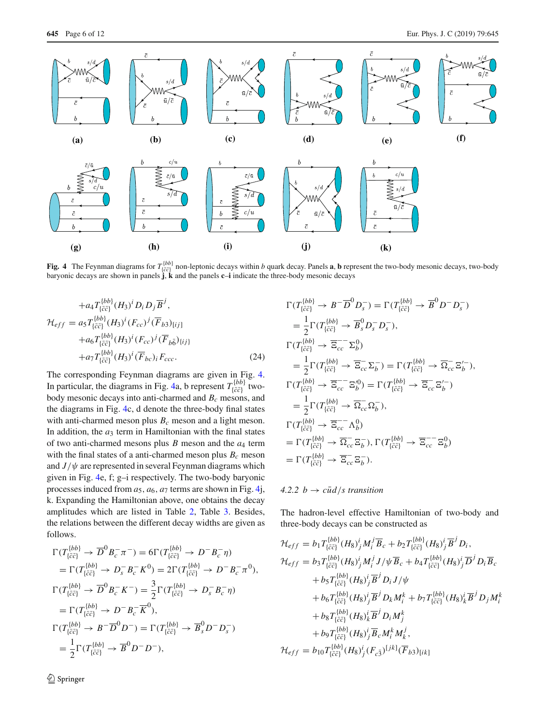

<span id="page-5-0"></span>**Fig. 4** The Feynman diagrams for  $T_{\{\bar{c}\bar{c}\}}^{b\bar{b}\bar{b}}$  non-leptonic decays within b quark decay. Panels **a**, **b** represent the two-body mesonic decays, two-body baryonic decays are shown in panels **j**, **k** and the p

(*T* {*bb*}

$$
+a_{4}T_{\{\bar{c}\bar{c}\}}^{(bb)}(H_{3})^{i} D_{i} D_{j} \overline{B}^{j},
$$
  
\n
$$
\mathcal{H}_{eff} = a_{5}T_{\{\bar{c}\bar{c}\}}^{(bb)}(H_{3})^{i} (F_{cc})^{j} (\overline{F}_{b3})_{[ij]}
$$
  
\n
$$
+a_{6}T_{\{\bar{c}\bar{c}\}}^{(bb)}(H_{3})^{i} (F_{cc})^{j} (\overline{F}_{b\bar{6}})_{\{ij\}}
$$
  
\n
$$
+a_{7}T_{\{\bar{c}\bar{c}\}}^{(bb)}(H_{3})^{i} (\overline{F}_{bc})_{i} F_{ccc}.
$$
\n(24)

The corresponding Feynman diagrams are given in Fig. [4.](#page-5-0) In particular, the diagrams in Fig. [4a](#page-5-0), b represent  $T_{\{\bar{c}\bar{c}\}}^{[bb]}$  twobody mesonic decays into anti-charmed and *Bc* mesons, and the diagrams in Fig. [4c](#page-5-0), d denote the three-body final states with anti-charmed meson plus  $B_c$  meson and a light meson. In addition, the  $a_3$  term in Hamiltonian with the final states of two anti-charmed mesons plus *B* meson and the *a*<sup>4</sup> term with the final states of a anti-charmed meson plus  $B_c$  meson and  $J/\psi$  are represented in several Feynman diagrams which given in Fig. [4e](#page-5-0), f; g–i respectively. The two-body baryonic processes induced from  $a_5$ ,  $a_6$ ,  $a_7$  terms are shown in Fig. [4j](#page-5-0), k. Expanding the Hamiltonian above, one obtains the decay amplitudes which are listed in Table [2,](#page-6-0) Table [3.](#page-6-1) Besides, the relations between the different decay widths are given as follows.

$$
\Gamma(T_{\{\bar{c}\bar{c}\}}^{[bb]} \to \overline{D}^0 B_c^- \pi^-) = 6\Gamma(T_{\{\bar{c}\bar{c}\}}^{[bb]} \to D^- B_c^- \eta)
$$
  
\n
$$
= \Gamma(T_{\{\bar{c}\bar{c}\}}^{[bb]} \to D_s^- B_c^- K^0) = 2\Gamma(T_{\{\bar{c}\bar{c}\}}^{[bb]} \to D^- B_c^- \pi^0),
$$
  
\n
$$
\Gamma(T_{\{\bar{c}\bar{c}\}}^{[bb]} \to \overline{D}^0 B_c^- K^-) = \frac{3}{2}\Gamma(T_{\{\bar{c}\bar{c}\}}^{[bb]} \to D_s^- B_c^- \eta)
$$
  
\n
$$
= \Gamma(T_{\{\bar{c}\bar{c}\}}^{[bb]} \to D^- B_c^- \overline{K}^0),
$$
  
\n
$$
\Gamma(T_{\{\bar{c}\bar{c}\}}^{[bb]} \to B^- \overline{D}^0 D^-) = \Gamma(T_{\{\bar{c}\bar{c}\}}^{[bb]} \to \overline{B}_s^0 D^- D_s^-)
$$
  
\n
$$
= \frac{1}{2}\Gamma(T_{\{\bar{c}\bar{c}\}}^{[bb]} \to \overline{B}^0 D^- D^-),
$$

$$
\Gamma(T_{\{\bar{c}\bar{c}\}}^{[bb]} \to B^- \overline{D}^0 D_s^-) = \Gamma(T_{\{\bar{c}\bar{c}\}}^{[bb]} \to \overline{B}^0 D^- D_s^-)
$$
\n
$$
= \frac{1}{2} \Gamma(T_{\{\bar{c}\bar{c}\}}^{[bb]} \to \overline{B}_s^0 D_s^- D_s^-),
$$
\n
$$
\Gamma(T_{\{\bar{c}\bar{c}\}}^{[bb]} \to \overline{\Xi_{cc}} \Sigma_b^0)
$$
\n
$$
= \frac{1}{2} \Gamma(T_{\{\bar{c}\bar{c}\}}^{[bb]} \to \overline{\Xi_{cc}} \Sigma_b^-) = \Gamma(T_{\{\bar{c}\bar{c}\}}^{[bb]} \to \overline{\Omega_{cc}} \Xi_b'^-),
$$
\n
$$
\Gamma(T_{\{\bar{c}\bar{c}\}}^{[bb]} \to \overline{\Xi_{cc}} \Xi_b^0) = \Gamma(T_{\{\bar{c}\bar{c}\}}^{[bb]} \to \overline{\Xi_{cc}} \Xi_b'^-),
$$
\n
$$
\Gamma(T_{\{\bar{c}\bar{c}\}}^{[bb]} \to \overline{\Xi_{cc}} \Xi_b^0) = \Gamma(T_{\{\bar{c}\bar{c}\}}^{[bb]} \to \overline{\Xi_{cc}} \Xi_b'^-)
$$
\n
$$
= \frac{1}{2} \Gamma(T_{\{\bar{c}\bar{c}\}}^{[bb]} \to \overline{\Omega_{cc}} \Omega_b^-),
$$
\n
$$
\Gamma(T_{\{\bar{c}\bar{c}\}}^{[bb]} \to \overline{\Xi_{cc}} \Lambda_b^0)
$$
\n
$$
= \Gamma(T_{\{\bar{c}\bar{c}\}}^{[bb]} \to \overline{\Omega_{cc}} \Xi_b^-), \Gamma(T_{\{\bar{c}\bar{c}\}}^{[bb]} \to \overline{\Xi_{cc}} \Xi_b^0)
$$
\n
$$
= \Gamma(T_{\{\bar{c}\bar{c}\}}^{[bb]} \to \overline{\Xi_{cc}} \Xi_b^-).
$$

## $4.2.2 b \rightarrow c\bar{u}d/s$  transition

The hadron-level effective Hamiltonian of two-body and three-body decays can be constructed as

$$
\mathcal{H}_{eff} = b_1 T_{\{\bar{c}\bar{c}\}}^{(bb)} (H_8)^i_j M_i^j \overline{B}_c + b_2 T_{\{\bar{c}\bar{c}\}}^{(bb)} (H_8)^i_j \overline{B}^j D_i,
$$
\n
$$
\mathcal{H}_{eff} = b_3 T_{\{\bar{c}\bar{c}\}}^{(bb)} (H_8)^i_j M_i^j J/\psi \overline{B}_c + b_4 T_{\{\bar{c}\bar{c}\}}^{(bb)} (H_8)^i_j \overline{D}^j D_i \overline{B}_c
$$
\n
$$
+ b_5 T_{\{\bar{c}\bar{c}\}}^{(bb)} (H_8)^i_j \overline{B}^j D_i J/\psi
$$
\n
$$
+ b_6 T_{\{\bar{c}\bar{c}\}}^{(bb)} (H_8)^i_j \overline{B}^j D_k M_i^k + b_7 T_{\{\bar{c}\bar{c}\}}^{(bb)} (H_8)^i_k \overline{B}^j D_j M_i^k
$$
\n
$$
+ b_8 T_{\{\bar{c}\bar{c}\}}^{(bb)} (H_8)^i_k \overline{B}^j D_i M_j^k
$$
\n
$$
+ b_9 T_{\{\bar{c}\bar{c}\}}^{(bb)} (H_8)^i_j \overline{B}^j D_i M_j^k
$$
\n
$$
+ b_9 T_{\{\bar{c}\bar{c}\}}^{(bb)} (H_8)^i_j \overline{B}_c M_i^k M_k^j,
$$
\n
$$
\mathcal{H}_{eff} = b_{10} T_{\{\bar{c}\bar{c}\}}^{(bb)} (H_8)^i_j (F_{c\bar{3}})^{[jk]} (\overline{F}_{b3})_{[ik]}
$$

<sup>2</sup> Springer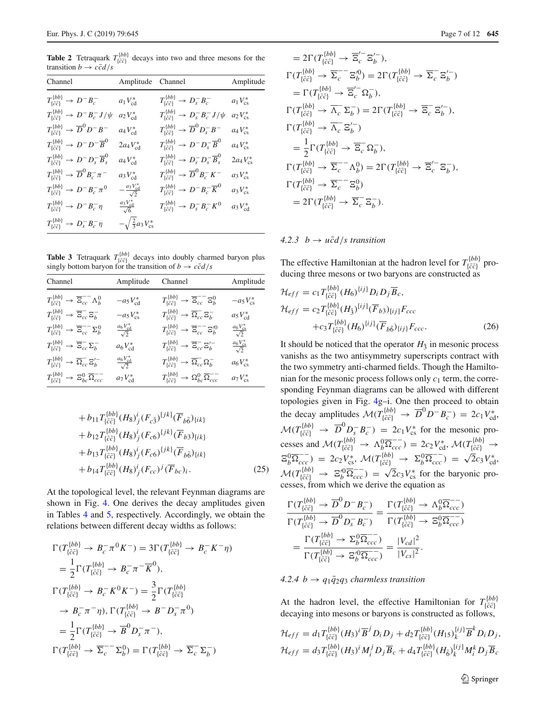<span id="page-6-0"></span>**Table 2** Tetraquark  $T_{\{\bar{c}\bar{c}\}}^{(bb)}$  decays into two and three mesons for the transition  $b \rightarrow c\bar{c}d/s$ 

| Channel                                                                  | Amplitude Channel                    |                                                                                 | Amplitude         |
|--------------------------------------------------------------------------|--------------------------------------|---------------------------------------------------------------------------------|-------------------|
| $T^{\{bb\}}_{\{\bar c\bar c\}}$ $\rightarrow$ $D^-B^-_c$                 | $a_1V_{cd}^*$                        | $T_{\{\bar{c}\bar{c}\}}^{ \{bb\} } \to D_s^- B_c^-$                             | $a_1V_{\rm cs}^*$ |
| $T^{\{bb\}}_{\{\bar c\bar c\}} \to D^- B^-_c J/\psi$                     | $a_2V_{\rm cd}^*$                    | $T_{\{\bar{c}\bar{c}\}}^{\{bb\} } \rightarrow D_s^- B_c^- J/\psi$               | $a_2V_{\rm cs}^*$ |
| $T_{\{\bar{c}\bar{c}\}}^{ \{bb\}} \rightarrow \overline{D}^0 D^- B^-$    | $a_4V_{cd}^*$                        | $T_{\{\bar{c}\bar{c}\}}^{ \{bb\} } \rightarrow \overline{D}^0 D^-_s B^-$        | $a_4V_{cs}^*$     |
| $T_{\{\bar c \bar c\}}^{ \{bb\} } \to D^- D^- \overline{B}^0$            | $2a_4V_{cd}^*$                       | $T_{\{\bar{c}\bar{c}\}}^{ \{bb\}} \rightarrow D^{-} D_{s}^{-} \overline{B}^{0}$ | $a_4V_{\rm cs}^*$ |
| $T_{\{\bar{c}\bar{c}\}}^{\{bb\}} \rightarrow D^- D_s^- \overline{B}_s^0$ | $a_4V_{cd}^*$                        | $T_{\{\bar{c}\bar{c}\}}^{\{bb\}} \rightarrow D_s^- D_s^- \overline{B}_s^0$      | $2a_4V_{cs}^*$    |
| $T^{\{bb\}}_{\{\bar c\bar c\}} \to \overline D^0 B^-_c \pi^-$            | $a_3V_{\rm cd}^*$                    | $T_{\{\bar{c}\bar{c}\}}^{ \{bb\}} \rightarrow \overline{D}^0 B_c^- K^-$         | $a_3V_{\rm cs}^*$ |
| $T_{\{\bar{c}\bar{c}\}}^{ \{bb\}} \to D^- B_c^- \pi^0$                   | $-\frac{a_3 V_{cd}^*}{\sqrt{2}}$     | $T^{\{bb\}}_{\{\bar c\bar c\}} \to D^- B^-_c \overline K^0$                     | $a_3V_{cs}^*$     |
| $T_{\{\bar{c}\bar{c}\}}^{ \{bb\} } \rightarrow D^{-} B_{c}^{-} \eta$     | $\frac{a_3 V_{cd}^*}{\sqrt{6}}$      | $T_{\{\bar{c}\bar{c}\}}^{\{bb\}} \to D_s^- B_c^- K^0$                           | $a_3V_{cd}^*$     |
| $T^{\{bb\}}_{\{\bar c\bar c\}} \to D_s^- B_c^- \eta$                     | $-\sqrt{\frac{2}{3}}a_3V_{\rm cs}^*$ |                                                                                 |                   |

<span id="page-6-1"></span>**Table 3** Tetraquark  $T_{\{\bar{c}\bar{c}\}}^{[bb]}$  decays into doubly charmed baryon plus singly bottom baryon for the transition of  $b \rightarrow c\bar{c}d/s$ 

| Channel                                                                                 | Amplitude                           | Channel                                                                                    | Amplitude                           |
|-----------------------------------------------------------------------------------------|-------------------------------------|--------------------------------------------------------------------------------------------|-------------------------------------|
| $T^{\{bb\}}_{\{\bar{c}\bar{c}\}} \rightarrow \overline{\Xi}_{cc}^{--} \Lambda_b^0$      | $-a_5V_{cd}^*$                      | $T^{\{bb\}}_{\{\bar{c}\bar{c}\}} \rightarrow \overline{\Xi}_{cc}^{--} \Xi_b^0$             | $-a_5 V_{cs}^*$                     |
| $T_{\{c\bar{c}\}}^{\{bb\}} \rightarrow \overline{\Xi}_{cc}^{-} \Xi_b^{-}$               | $-a_5 V_{cs}^*$                     | $T^{\{bb\}}_{\{\bar{c}\bar{c}\}} \rightarrow \overline{\Omega}^-_{cc} \Xi_b^-$             | $a_5V_{cd}^*$                       |
| $T^{\{bb\}}_{\{\bar{c}\bar{c}\}} \rightarrow \overline{\Xi}_{cc}^{--} \Sigma_b^0$       | $\frac{a_6 V_{\rm cd}^*}{\sqrt{2}}$ | $T^{\{bb\}}_{\{\bar{c}\bar{c}\}} \rightarrow \overline{\Xi}_{cc}^{--} \Xi_{b}^{\prime 0}$  | $\frac{a_6 V_{cs}^*}{\sqrt{2}}$     |
| $T^{\{bb\}}_{\{\bar{c}\bar{c}\}} \rightarrow \overline{\Xi}_{cc}^{-} \Sigma_{b}^{-}$    | $a_6V_{cd}^*$                       | $T^{\{bb\}}_{\{\bar{c}\bar{c}\}} \rightarrow \overline{\Xi}_{cc}^{-} \Xi_{bc}^{\prime-}$   | $\frac{a_6 V_{\rm cs}^*}{\sqrt{2}}$ |
| $T^{\{bb\}}_{\{\bar{c}\bar{c}\}} \rightarrow \overline{\Omega}^-_{cc} \Xi_b^{\prime -}$ | $\frac{a_6 V_{\rm cd}^*}{\sqrt{2}}$ | $T^{\{bb\}}_{\{\bar{c}\bar{c}\}} \rightarrow \overline{\Omega}_{cc}^{-} \Omega_{b}^{-}$    | $a_6V_{cs}^*$                       |
| $T^{\{bb\}}_{\{\bar{c}\bar{c}\}} \rightarrow \Xi_{bc}^{0} \overline{\Omega}_{ccc}^{--}$ | $a_7V_{cd}^*$                       | $T_{\{\bar{c}\bar{c}\}}^{\{bb\}} \rightarrow \Omega_{bc}^{0} \overline{\Omega}_{ccc}^{--}$ | $a_7V_{cs}^*$                       |
|                                                                                         |                                     |                                                                                            |                                     |

$$
+ b_{11} T_{\{\bar{c}\bar{c}\}}^{[bb]} (H_8)^i_j (F_{c\bar{3}})^{[jk]} (\overline{F}_{b\bar{6}})_{\{ik\}} + b_{12} T_{\{\bar{c}\bar{c}\}}^{[bb]} (H_8)^i_j (F_{c6})^{[jk]} (\overline{F}_{b3})_{[ik]} + b_{13} T_{\{\bar{c}\bar{c}\}}^{[bb]} (H_8)^i_j (F_{c6})^{[jk]} (\overline{F}_{b\bar{6}})_{\{ik\}} + b_{14} T_{\{\bar{c}\bar{c}\}}^{[bb]} (H_8)^i_j (F_{cc})^j (\overline{F}_{bc})_i.
$$
\n(25)

At the topological level, the relevant Feynman diagrams are shown in Fig. [4.](#page-5-0) One derives the decay amplitudes given in Tables [4](#page-7-0) and [5,](#page-7-1) respectively. Accordingly, we obtain the relations between different decay widths as follows:

$$
\Gamma(T_{\{\bar{c}\bar{c}\}}^{ \{bb)} \to B_c^- \pi^0 K^-) = 3\Gamma(T_{\{\bar{c}\bar{c}\}}^{ \{bb)} \to B_c^- K^- \eta)
$$
\n
$$
= \frac{1}{2}\Gamma(T_{\{\bar{c}\bar{c}\}}^{ \{bb)} \to B_c^- \pi^- \overline{K}^0),
$$
\n
$$
\Gamma(T_{\{\bar{c}\bar{c}\}}^{ \{bb)} \to B_c^- K^0 K^-) = \frac{3}{2}\Gamma(T_{\{\bar{c}\bar{c}\}}^{ \{bb)} \to B_c^- \pi^- \eta), \Gamma(T_{\{\bar{c}\bar{c}\}}^{ \{bb)} \to B^- D_s^- \pi^0)
$$
\n
$$
= \frac{1}{2}\Gamma(T_{\{\bar{c}\bar{c}\}}^{ \{bb)} \to \overline{B}^0 D_s^- \pi^-),
$$
\n
$$
\Gamma(T_{\{\bar{c}\bar{c}\}}^{ \{bb)} \to \overline{\Sigma}_c^- \Sigma_b^0) = \Gamma(T_{\{\bar{c}\bar{c}\}}^{ \{bb)} \to \overline{\Sigma}_c^- \Sigma_b^-)
$$

$$
=2\Gamma(T_{\{\bar{c}\bar{c}\}}^{[bb)} \to \overline{\Xi}_c^{\prime-} \overline{\Xi}_b^{\prime-}),
$$
  
\n
$$
\Gamma(T_{\{\bar{c}\bar{c}\}}^{[bb]} \to \overline{\Sigma}_c^{-} \overline{\Xi}_b^{\prime 0}) = 2\Gamma(T_{\{\bar{c}\bar{c}\}}^{[bb]} \to \overline{\Sigma}_c^{-} \overline{\Xi}_b^{\prime -})
$$
  
\n
$$
= \Gamma(T_{\{\bar{c}\bar{c}\}}^{[bb]} \to \overline{\Xi}_c^{\prime-} \Omega_b^{-}),
$$
  
\n
$$
\Gamma(T_{\{\bar{c}\bar{c}\}}^{[bb]} \to \overline{\Lambda}_c^{-} \Sigma_b^{-}) = 2\Gamma(T_{\{\bar{c}\bar{c}\}}^{[bb]} \to \overline{\Xi}_c^{-} \overline{\Xi}_b^{\prime -}),
$$
  
\n
$$
\Gamma(T_{\{\bar{c}\bar{c}\}}^{[bb]} \to \overline{\Lambda}_c^{-} \overline{\Xi}_b^{\prime -})
$$
  
\n
$$
= \frac{1}{2}\Gamma(T_{\{\bar{c}\bar{c}\}}^{[bb]} \to \overline{\Xi}_c^{-} \Omega_b^{-}),
$$
  
\n
$$
\Gamma(T_{\{\bar{c}\bar{c}\}}^{[bb]} \to \overline{\Sigma}_c^{-} \Lambda_b^0) = 2\Gamma(T_{\{\bar{c}\bar{c}\}}^{[bb]} \to \overline{\Xi}_c^{\prime -} \overline{\Xi}_b^{-}),
$$
  
\n
$$
\Gamma(T_{\{\bar{c}\bar{c}\}}^{[bb]} \to \overline{\Sigma}_c^{-} \overline{\Xi}_b^0)
$$
  
\n
$$
= 2\Gamma(T_{\{\bar{c}\bar{c}\}}^{[bb]} \to \overline{\Sigma}_c^{-} \overline{\Xi}_b^{-}).
$$

## $4.2.3$  *b*  $\rightarrow$  *u* $\bar{c}d/s$  *transition*

The effective Hamiltonian at the hadron level for  $T_{\{\bar{c}\bar{c}\}}^{(bb)}$  producing three mesons or two baryons are constructed as

$$
\mathcal{H}_{eff} = c_1 T_{\{\bar{c}\bar{c}\}}^{ \{bb\} } (H_6)^{\{ij\}} D_i D_j \overline{B}_c, \n\mathcal{H}_{eff} = c_2 T_{\{\bar{c}\bar{c}\}}^{ \{bb\} } (H_3)^{\{ij\}} (\overline{F}_{b3})_{[ij]} F_{ccc} \n+ c_3 T_{\{\bar{c}\bar{c}\}}^{ \{bb\} } (H_6)^{\{ij\}} (\overline{F}_{b\bar{b}})_{\{ij\}} F_{ccc}.
$$
\n(26)

It should be noticed that the operator  $H_3$  in mesonic process vanishs as the two antisymmetry superscripts contract with the two symmetry anti-charmed fields. Though the Hamiltonian for the mesonic process follows only  $c_1$  term, the corresponding Feynman diagrams can be allowed with different topologies given in Fig. [4g](#page-5-0)–i. One then proceed to obtain the decay amplitudes  $\mathcal{M}(T_{\{\bar{c}\bar{c}\}}^{ \{bb\}}) \rightarrow \overline{D}^0 D^- B^-_c) = 2c_1 V_{\text{cd}}^*$  $\mathcal{M}(T_{\{\bar{c}\bar{c}\}}^{\{bbb\}} \rightarrow \overline{D}^0 D^-_s B^-_c) = 2c_1 V^*_{\text{cs}}$  for the mesonic processes and  $\mathcal{M}(T_{\{\bar{c}\bar{c}\}}^{[bb]} \rightarrow \Lambda_b^0 \overline{\Omega_{ccc}}^{-1}) = 2c_2 V_{cd}^*$ ,  $\mathcal{M}(T_{\{\bar{c}\bar{c}\}}^{[bb]} \rightarrow$  $\Xi_{b}^{0}\overline{\Omega_{ccc}^{-}}$  = 2*c*<sub>2</sub>*V*<sub>cs</sub>, *M*(*T*<sub>[ $\bar{c}\bar{c}$ ]</sub>  $\to \Sigma_{b}^{0}\overline{\Omega_{ccc}^{-}}$  =  $\sqrt{2}c_3V_{cd}^{*}$ ,  $M(T_{\{\bar{c}\bar{c}\}}^{\{bbb\}}) \rightarrow \Xi_b^{0}\overline{\Omega}_{ccc}^{-}$  = √2*c*<sub>3</sub>*V*<sub>cs</sub> for the baryonic processes, from which we derive the equation as

$$
\frac{\Gamma(T_{\{\bar{c}\bar{c}\}}^{ \{bb)}}{\Gamma(T_{\{\bar{c}\bar{c}\}}^{ \{bb)}} \to \overline{D}^0 D^- B^-_c)} = \frac{\Gamma(T_{\{\bar{c}\bar{c}\}}^{ \{bb)}}{\Gamma(T_{\{\bar{c}\bar{c}\}}^{ \{bb)}} \to \Lambda_b^0 \overline{\Omega}_{ccc}^{-} )} }{\Gamma(T_{\{\bar{c}\bar{c}\}}^{ \{bb)}} = \frac{\Gamma(T_{\{\bar{c}\bar{c}\}}^{ \{bb)}} + \Lambda_b^0 \overline{\Omega}_{ccc}^{-} }{\Gamma(T_{\{\bar{c}\bar{c}\}}^{ \{bb)}} \to \Xi_b^0 \overline{\Omega}_{ccc}^{-} } )} = \frac{\Gamma(T_{\{\bar{c}\bar{c}\}}^{ \{bb)}} + \Xi_b^0 \overline{\Omega}_{ccc}^{-} }{\Gamma(T_{\{\bar{c}\bar{c}\}}^{ \{bb)}} \to \Xi_b^0 \overline{\Omega}_{ccc}^{-} } )} = \frac{|V_{cd}|^2}{|V_{cs}|^2}.
$$

## $4.2.4\, b \rightarrow q_1 \bar{q}_2 q_3$  *charmless transition*

At the hadron level, the effective Hamiltonian for  $T_{\{\bar{c}\bar{c}\}}^{[bb]}$ decaying into mesons or baryons is constructed as follows,

$$
\mathcal{H}_{eff} = d_1 T_{\{\bar{c}\bar{c}\}}^{(bb)}(H_3)^i \overline{B}^j D_i D_j + d_2 T_{\{\bar{c}\bar{c}\}}^{(bb)}(H_{15})_k^{(ij)} \overline{B}^k D_i D_j,
$$
  

$$
\mathcal{H}_{eff} = d_3 T_{\{\bar{c}\bar{c}\}}^{(bb)}(H_3)^i M_i^j D_j \overline{B}_c + d_4 T_{\{\bar{c}\bar{c}\}}^{(bb)}(H_6)^{[ij]} M_i^k D_j \overline{B}_c
$$

<sup>2</sup> Springer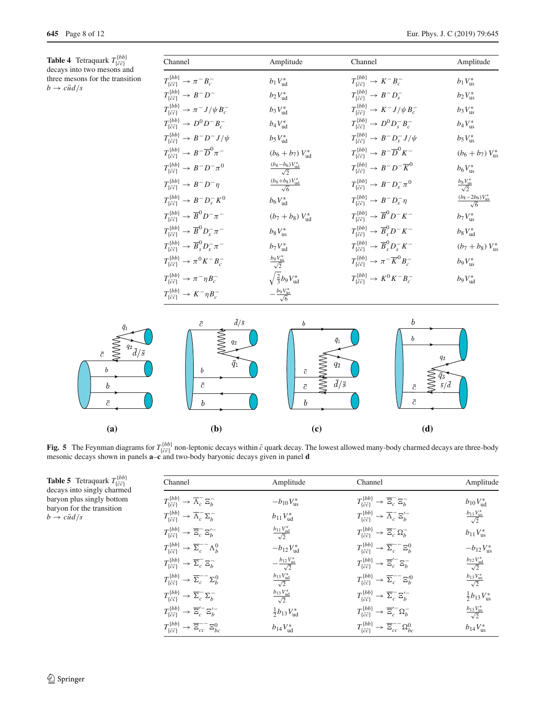<span id="page-7-0"></span>**Table 4** Tetraquark  $T^{\{bb\}}_{\{\bar{c}\bar{c}\}}$  decays into two mesons and three mesons for the transition  $b \rightarrow c \bar{u} d / s$ 

| Channel                                                                     | Amplitude                               | Channel                                                                           | Amplitude                                    |
|-----------------------------------------------------------------------------|-----------------------------------------|-----------------------------------------------------------------------------------|----------------------------------------------|
| $T_{\{\bar{c}\bar{c}\}}^{ \{bb\}} \rightarrow \pi^- B_c^-$                  | $b_1V_{ud}^*$                           | $T_{\{\bar{c}\bar{c}1}}^{\{bb\}} \rightarrow K^-B^-_{c}$                          | $b_1V_{\text{us}}^*$                         |
| $T_{\{\bar{c}\bar{c}\}}^{ \{bb\}} \rightarrow B^- D^-$                      | $b_2V_{ud}^*$                           | $T_{\{\bar{c}\bar{c}\}}^{ \{bb\}} \rightarrow B^- D_s^-$                          | $b_2V_{\text{us}}^*$                         |
| $T^{\{bb\}}_{\{\bar c\bar c\}} \rightarrow \pi^- J/\psi B^-_c$              | $b_3V_{ud}^*$                           | $T^{\{bb\}}_{\{\bar{c}\bar{c}\}} \rightarrow K^- J/\psi B_c^-$                    | $b_3V_{\text{us}}^*$                         |
| $T_{\{\bar{c}\bar{c}\}}^{ \{bb\} } \to D^0 D^- B^-_c$                       | $b_4 V_{ud}^*$                          | $T_{\{\bar{c}\bar{c}\}}^{ \{bb\}} \to D^0 D_s^- B_c^-$                            | $b_4 V_{\text{us}}^*$                        |
| $T_{\{\bar{c}\bar{c}\}}^{ \{bb\}} \rightarrow B^- D^- J/\psi$               | $b_5V_{ud}^*$                           | $T_{\{\bar{c}\bar{c}\}}^{ \{bb\}} \rightarrow B^- D^-_s J/\psi$                   | $b_5V_{\text{us}}^*$                         |
| $T_{\{\bar{c}\bar{c}\}}^{ \{bb\}} \rightarrow B^- \overline{D}^0 \pi^-$     | $(b_6 + b_7) V_{ud}^*$                  | $T_{\{\bar{c}\bar{c}\}}^{ \{bb\}} \rightarrow B^- \overline{D}^0 K^-$             | $(b_6 + b_7) V_{\text{us}}^*$                |
| $T_{\{\bar{c}\bar{c}\}}^{ \{bb\}} \to B^- D^- \pi^0$                        | $\frac{(b_8-b_6)V_{ud}^*}{\sqrt{2}}$    | $T_{\{\bar{c}\bar{c}\}}^{ \{bb\}} \rightarrow B^- D^- \overline{K}^0$             | $b_6 V_{\text{us}}^*$                        |
| $T_{\{\bar{c}\bar{c}\}}^{ \{bb\}} \rightarrow B^- D^- \eta$                 | $\frac{(b_6+b_8)V_{ud}^*}{\sqrt{6}}$    | $T_{\{5,7\}}^{ \{bb\}} \to B^- D_s^- \pi^0$                                       | $rac{b_8 V_{\text{us}}^*}{\sqrt{2}}$         |
| $T_{\{\bar{c}\bar{c}\}}^{ \{bb\} } \rightarrow B^{-} D_{s}^{-} K^{0}$       | $b_6 V_{ud}^*$                          | $T_{\{\bar{c}\bar{c}\}}^{ \{bb\}} \rightarrow B^- D^-_s \eta$                     | $\frac{(b_8-2b_6)V_{\text{us}}^*}{\sqrt{6}}$ |
| $T_{\{\bar{c}\bar{c}\}}^{ \{bb\}} \rightarrow \overline{B}^0 D^- \pi^-$     | $(b_7 + b_8) V_{ud}^*$                  | $T_{\bar{i}\bar{c}\bar{c}1}^{\{bb\}} \rightarrow \overline{B}^0 D^- K^-$          | $b_7V_{\text{us}}^*$                         |
| $T_{\{\bar{c}\bar{c}\}}^{ \{bb\}} \rightarrow \overline{B}^0 D_s^- \pi^-$   | $b_8 V_{\text{us}}^*$                   | $T_{\{\bar{c}\bar{c}\}}^{ \{bb\}} \rightarrow \overline{B}_s^0 D^- K^-$           | $b_8V_{ud}^*$                                |
| $T_{\{\bar{c}\bar{c}\}}^{ \{bb\}} \rightarrow \overline{B}_s^0 D_s^- \pi^-$ | $b_7V_{ud}^*$                           | $T_{\{\bar{c}\bar{c}\}}^{ \{bb\}} \rightarrow \overline{B}_s^0 D_s^- K^-$         | $(b_7 + b_8) V_{\text{us}}^*$                |
| $T_{\{\bar{c}\bar{c}\}}^{ \{bb\}} \to \pi^0 K^- B_c^-$                      | $rac{b_9 V_{\text{us}}^*}{\sqrt{2}}$    | $T_{\{\bar{c}\bar{c}\}}^{ \{bb\}} \rightarrow \pi^{-} \overline{K}^{0} B_{c}^{-}$ | $b_9V_{\text{us}}^*$                         |
| $T_{\{\bar{c}\bar{c}\}}^{ \{bb\}} \rightarrow \pi^- \eta B_c^-$             | $\sqrt{\frac{2}{3}}b_9V_{ud}^*$         | $T_{\{c\bar{c}\}}^{\{bb\}} \to K^0 K^- B_c^-$                                     | $b_9V_{ud}^*$                                |
| $T_{\bar{c}\bar{c}1}^{\{bb\}} \rightarrow K^- \eta B_c^-$                   | $-\frac{b_9 V_{\text{us}}^*}{\sqrt{6}}$ |                                                                                   |                                              |



<span id="page-7-2"></span>**Fig. 5** The Feynman diagrams for  $T^{(bb)}_{(\tilde{c}^c)}$  non-leptonic decays within  $\tilde{c}$  quark decay. The lowest allowed many-body charmed decays are three-body mesonic decays shown in panels **a**-c and two-body baryonic de

<span id="page-7-1"></span>**Table 5** Tetraquark  $T_{\{\bar{c}\bar{c}\}}^{\{bb}}$  decays into singly charmed baryon plus singly bottom baryon for the transition  $b \rightarrow c\bar{u}d/s$ 

| Channel                                                                                    | Amplitude                          | Channel                                                                                 | Amplitude                              |
|--------------------------------------------------------------------------------------------|------------------------------------|-----------------------------------------------------------------------------------------|----------------------------------------|
| $T^{\{bb\}}_{\{\bar{c}\bar{c}\}} \rightarrow \overline{\Lambda}_c^- \Xi_b^-$               | $-b_{10}V_{\rm us}^*$              | $T^{\{bb\}}_{\{\bar{c}\bar{c}\}} \rightarrow \overline{\Xi}_c^- \Xi_b^-$                | $b_{10}V_{ud}^*$                       |
| $T_{\{\bar{c}\bar{c}\}}^{ \{bb\}} \rightarrow \overline{\Lambda}_c^- \Sigma_b^-$           | $b_{11}V_{ud}^*$                   | $T^{\{bb\}}_{\{\bar{c}\bar{c}\}} \rightarrow \overline{\Lambda}_c^- \Xi_b'^-$           | $rac{b_{11}V_{\text{us}}^*}{\sqrt{2}}$ |
| $T_{\{\bar{c}\bar{c}\}}^{ \{bb\}} \rightarrow \overline{\Xi}_c^- \Xi_b^{\prime -}$         | $rac{b_{11}V_{ud}^*}{\sqrt{2}}$    | $T^{\{bb\}}_{\{\bar{c}\bar{c}\}} \rightarrow \overline{\Xi}_c^- \Omega_b^-$             | $b_{11}V_{us}^*$                       |
| $T^{\{bb\}}_{\{\bar{c}\bar{c}\}} \rightarrow \overline{\Sigma}_c^{--} \Lambda_b^0$         | $-b_{12}V_{ud}^*$                  | $T_{\{\bar{c}\bar{c}\}}^{\{bb\}} \rightarrow \overline{\Sigma}_c^{--} \Xi_b^0$          | $-b_{12}V_{\text{us}}^*$               |
| $T_{\{\bar{c}\bar{c}\}}^{\{bb\}} \rightarrow \overline{\Sigma}_c^- \Xi_b^-$                | $-\frac{b_{12}V_{us}^*}{\sqrt{2}}$ | $T^{\{bb\}}_{\{\bar{c}\bar{c}\}} \rightarrow \overline{\Xi}'_{c}^{-} \Xi_{b}^{-}$       | $rac{b_{12}V_{ud}^*}{\sqrt{2}}$        |
| $T_{\{\bar{c}\bar{c}\}}^{ \{bb\}} \rightarrow \overline{\Sigma}_c^{--} \Sigma_b^0$         | $rac{b_{13}V_{ud}^*}{\sqrt{2}}$    | $T^{\{bb\}}_{\{\bar{c}\bar{c}\}} \rightarrow \overline{\Sigma}_c^{--} \Xi_b^{\prime 0}$ | $rac{b_{13}V_{us}^*}{\sqrt{2}}$        |
| $T_{\{\bar{c}\bar{c}\}}^{ \{bb\}} \rightarrow \overline{\Sigma}_c^- \Sigma_h^-$            | $rac{b_{13}V_{ud}^*}{\sqrt{2}}$    | $T^{\{bb\}}_{\{\bar{c}\bar{c}\}} \rightarrow \overline{\Sigma}_c^- \Xi_b'^-$            | $\frac{1}{2}b_{13}V_{us}^*$            |
| $T^{\{bb\}}_{\{\bar{c}\bar{c}\}} \rightarrow \overline{\Xi}_c^{\prime-} {\Xi}_b^{\prime-}$ | $\frac{1}{2}b_{13}V_{ud}^*$        | $T^{\{bb\}}_{\{\bar{c}\bar{c}\}} \rightarrow \overline{\Xi}'_c \Omega_b^-$              | $rac{b_{13}V_{\text{us}}^*}{\sqrt{2}}$ |
| $T_{\{\bar{c}\bar{c}\}}^{ \{bb\}} \rightarrow \overline{\Xi}_{cc}^{--} \Xi_{bc}^{0}$       | $b_{14}V_{ud}^*$                   | $T_{\{\bar{c}\bar{c}\}}^{\{bb\}} \rightarrow \overline{\Xi}_{cc}^{--} \Omega_{bc}^0$    | $b_{14}V_{\text{us}}^*$                |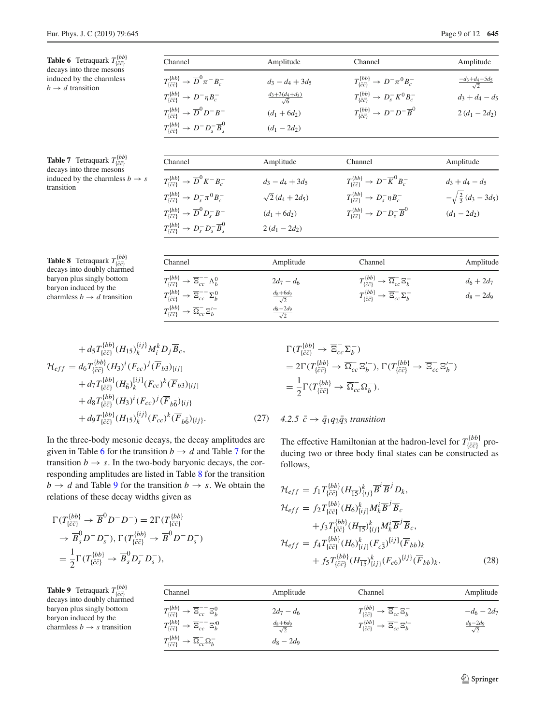<span id="page-8-1"></span><span id="page-8-0"></span>

| <b>Table 6</b> Tetraquark $T^{\{bb\}}_{\{\bar{c}\bar{c}\}}$                                                            | Channel                                                                                                                                                                                                             | Amplitude                                               | Channel                                                                                                                                                                            | Amplitude                                             |
|------------------------------------------------------------------------------------------------------------------------|---------------------------------------------------------------------------------------------------------------------------------------------------------------------------------------------------------------------|---------------------------------------------------------|------------------------------------------------------------------------------------------------------------------------------------------------------------------------------------|-------------------------------------------------------|
| decays into three mesons<br>induced by the charmless<br>$b \rightarrow d$ transition                                   | $T^{\{bb\}}_{\{\bar{c}\bar{c}\}} \rightarrow \overline{D}^0 \pi^- B^-_{c}$<br>$T_{\{\bar{c}\bar{c}\}}^{ \{bb\}} \rightarrow D^- \eta B_c^-$<br>$T^{\{bb\}}_{\{\bar{c}\bar{c}\}} \rightarrow \overline{D}^0 D^- B^-$ | $d_3 - d_4 + 3d_5$<br>$\frac{d_3+3(d_4+d_5)}{\sqrt{6}}$ | $T_{\{\bar{c}\bar{c}\}}^{ \{bb\}} \to D^- \pi^0 B_c^-$<br>$T_{\{c\bar{c}\}}^{\{bb\}} \to D_s^- K^0 B_c^-$<br>$T_{\{\bar{c}\bar{c}\}}^{ \{bb\}} \rightarrow D^- D^- \overline{B}^0$ | $\frac{-d_3+d_4+5d_5}{\sqrt{2}}$<br>$d_3 + d_4 - d_5$ |
|                                                                                                                        | $T_{\{\bar{c}\bar{c}\}}^{ \{bb\}} \rightarrow D^{-} D_{s}^{-} \overline{B}_{s}^{0}$                                                                                                                                 | $(d_1 + 6d_2)$<br>$(d_1 - 2d_2)$                        |                                                                                                                                                                                    | $2(d_1-2d_2)$                                         |
| <b>Table 7</b> Tetraquark $T^{\{bb\}}_{\{\bar{c}\bar{c}\}}$                                                            | Channel                                                                                                                                                                                                             | Amplitude                                               | Channel                                                                                                                                                                            | Amplitude                                             |
| decays into three mesons<br>induced by the charmless $b \rightarrow s$<br>transition                                   | $T_{\bar{c}\bar{c}1}^{\{bb\}} \rightarrow \overline{D}^0 K^- B^-_{c}$                                                                                                                                               | $d_3 - d_4 + 3d_5$                                      | $T_{\{\bar{c}\bar{c}\}}^{\{bb\}} \to D^{-} \overline{K}^{0} B_{c}^{-}$                                                                                                             | $d_3 + d_4 - d_5$                                     |
|                                                                                                                        | $T_{\bar{c}\bar{c}1}^{\{bb\}} \to D_s^- \pi^0 B_c^-$                                                                                                                                                                | $\sqrt{2} (d_4 + 2d_5)$                                 | $T_{\bar{c}\bar{c}1}^{\{bb\}} \rightarrow D_s^- \eta B_c^-$                                                                                                                        | $-\sqrt{\frac{2}{3}}(d_3-3d_5)$                       |
|                                                                                                                        | $T^{\{bb\}}_{\{\bar{c}\bar{c}\}} \rightarrow \overline{D}^0 D^-_s B^-$                                                                                                                                              | $(d_1 + 6d_2)$                                          | $T_{\bar{i}\bar{c}\bar{c}1}^{\{bb\}} \rightarrow D^{-} D_{s}^{-} \overline{B}^{0}$                                                                                                 | $(d_1 - 2d_2)$                                        |
|                                                                                                                        | $T_{\{\bar{c}\bar{c}\}}^{ \{bb\}} \rightarrow D_s^- D_s^- \overline{B}_s^0$                                                                                                                                         | $2(d_1-2d_2)$                                           |                                                                                                                                                                                    |                                                       |
| <b>Table 8</b> Tetraquark $T^{\{bb\}}_{\{\bar{c}\bar{c}\}}$<br>decays into doubly charmed<br>baryon plus singly bottom | Channel                                                                                                                                                                                                             | Amplitude                                               | Channel                                                                                                                                                                            | Amplitude                                             |
|                                                                                                                        | $T^{\{bb\}}_{\{\bar{c}\bar{c}\}} \rightarrow \overline{\Xi}_{cc}^{--} \Lambda_b^0$                                                                                                                                  | $2d_7 - d_6$                                            | $T^{\{bb\}}_{\{\bar{c}\bar{c}\}} \rightarrow \overline{\Omega}^{-}_{cc} \Xi^{-}_{b}$                                                                                               | $d_6 + 2d_7$                                          |
| baryon induced by the<br>charmless $b \rightarrow d$ transition                                                        | $T^{\{bb\}}_{\{\bar{c}\bar{c}\}} \rightarrow \overline{\Xi}_{cc}^{--} \Sigma_b^0$                                                                                                                                   | $\frac{d_8+6d_9}{\sqrt{2}}$                             | $T^{\{bb\}}_{\{\bar{c}\bar{c}\}} \rightarrow \overline{\Xi}_{cc}^{-} \Sigma_{b}^{-}$                                                                                               | $d_8-2d_9$                                            |

 $\frac{d_8-2d_9}{\sqrt{2}}$ 

<span id="page-8-2"></span>
$$
+ d_{5} T_{\{\bar{c}\bar{c}\}}^{\{bb\} } (H_{15})_{k}^{\{ij\}} M_{i}^{k} D_{j} \overline{B}_{c},
$$
  
\n
$$
\mathcal{H}_{eff} = d_{6} T_{\{\bar{c}\bar{c}\}}^{\{bb\} } (H_{3})^{i} (F_{cc})^{j} (\overline{F}_{b3})_{[ij]}
$$
  
\n
$$
+ d_{7} T_{\{\bar{c}\bar{c}\}}^{\{bb\} } (H_{\bar{6}})_{k}^{\{ij\}} (F_{cc})^{k} (\overline{F}_{b3})_{[ij]}
$$
  
\n
$$
+ d_{8} T_{\{\bar{c}\bar{c}\}}^{\{bb\} } (H_{3})^{i} (F_{cc})^{j} (\overline{F}_{b\bar{6}})_{\{ij\}}
$$
  
\n
$$
+ d_{9} T_{\{\bar{c}\bar{c}\}}^{\{bb\} } (H_{15})_{k}^{\{ij\}} (F_{cc})^{k} (\overline{F}_{b\bar{6}})_{\{ij\}}.
$$
  
\n(27)

 $T^{\{bb\}}_{\{\bar{c}\bar{c}\}} \rightarrow \overline{\Omega}_{cc}^{-} \Xi_{b}^{\prime -}$ 

In the three-body mesonic decays, the decay amplitudes are given in Table [6](#page-8-0) for the transition  $b \to d$  and Table [7](#page-8-1) for the transition  $b \rightarrow s$ . In the two-body baryonic decays, the corresponding amplitudes are listed in Table [8](#page-8-2) for the transition  $b \rightarrow d$  and Table [9](#page-8-3) for the transition  $b \rightarrow s$ . We obtain the relations of these decay widths given as

$$
\Gamma(T_{\{\bar{c}\bar{c}\}}^{\{bb\}} \to \overline{B}^0 D^- D^-) = 2\Gamma(T_{\{\bar{c}\bar{c}\}}^{\{bb\}} \n\to \overline{B}_s^0 D^- D_s^-), \Gamma(T_{\{\bar{c}\bar{c}\}}^{\{bb\}} \to \overline{B}^0 D^- D_s^-) \n= \frac{1}{2}\Gamma(T_{\{\bar{c}\bar{c}\}}^{\{bb\}} \to \overline{B}_s^0 D_s^- D_s^-),
$$

<span id="page-8-3"></span>**Table 9** Tetraquark  $T^{\{bb\}}_{\{\bar{c}\bar{c}\}}$  decays into doubly charmed baryon plus singly bottom baryon induced by the charmless  $b \rightarrow s$  transition

$$
\Gamma(T_{\{\bar{c}\bar{c}\}}^{ \{bb)} \to \overline{\Xi}_{cc}^{-} \Sigma_b^{-})
$$
\n
$$
= 2\Gamma(T_{\{\bar{c}\bar{c}\}}^{ \{bb)} \to \overline{\Omega}_{cc}^{-} \Xi_b^{-}), \Gamma(T_{\{\bar{c}\bar{c}\}}^{ \{bb)} \to \overline{\Xi}_{cc}^{-} \Xi_b^{-})
$$
\n
$$
= \frac{1}{2}\Gamma(T_{\{\bar{c}\bar{c}\}}^{ \{bb)} \to \overline{\Omega}_{cc}^{-} \Omega_b^{-}).
$$

# $4.2.5 \bar{c} \rightarrow \bar{q}_1 q_2 \bar{q}_3$  *transition*

The effective Hamiltonian at the hadron-level for  $T_{\{\bar{c}\bar{c}\}}^{[bb]}$  producing two or three body final states can be constructed as follows,

$$
\mathcal{H}_{eff} = f_1 T_{\{\bar{c}\bar{c}\}}^{(bb)} (H_{\bar{15}})^k_{\{ij\}} \overline{B}^i \overline{B}^j D_k, \n\mathcal{H}_{eff} = f_2 T_{\{\bar{c}\bar{c}\}}^{(bb)} (H_6)^k_{\{ij\}} M_k^i \overline{B}^j \overline{B}_c \n+ f_3 T_{\{\bar{c}\bar{c}\}}^{(bb)} (H_{\bar{15}})^k_{\{ij\}} M_k^i \overline{B}^j \overline{B}_c, \n\mathcal{H}_{eff} = f_4 T_{\{\bar{c}\bar{c}\}}^{(bb)} (H_6)^k_{\{ij\}} (F_{c3})^{[ij]} (\overline{F}_{bb})_k \n+ f_5 T_{\{\bar{c}\bar{c}\}}^{(bb)} (H_{\bar{15}})^k_{\{ij\}} (F_{c6})^{[ij]} (\overline{F}_{bb})_k.
$$
\n(28)

| Channel                                                                                   | Amplitude                   | Channel                                                                                 | Amplitude                   |
|-------------------------------------------------------------------------------------------|-----------------------------|-----------------------------------------------------------------------------------------|-----------------------------|
| $T_{\{\bar{c}\bar{c}\}}^{\{bb\}} \rightarrow \overline{\Xi}_{cc}^{--} \Xi_b^0$            | $2d_7 - d_6$                | $T^{\{bb\}}_{\{\bar{c}\bar{c}\}} \rightarrow \overline{\Xi}_{cc}^{-} \Xi_b^{-}$         | $-d_6 - 2d_7$               |
| $T^{\{bb\}}_{\{\bar{c}\bar{c}\}} \rightarrow \overline{\Xi}_{cc}^{--} \Xi_{b}^{\prime 0}$ | $\frac{d_8+6d_9}{\sqrt{2}}$ | $T^{\{bb\}}_{\{\bar{c}\bar{c}\}} \rightarrow \overline{\Xi}_{cc}^{-} \Xi_{b}^{\prime-}$ | $\frac{d_8-2d_9}{\sqrt{2}}$ |
| $T^{\{bb\}}_{\{\bar c \bar c\}} \to \overline{\Omega}^-_{cc} \Omega^-_b$                  | $d_8-2d_9$                  |                                                                                         |                             |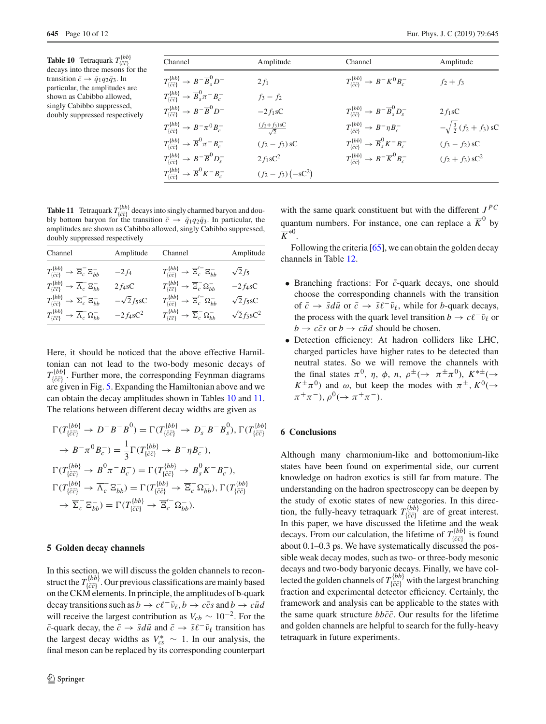<span id="page-9-1"></span>**Table 10** Tetraquark  $T^{\{bb\}}_{\{\bar{c}\bar{c}\}}$ decays into three mesons for the transition  $\bar{c} \rightarrow \bar{q}_1 q_2 \bar{q}_3$ . In particular, the amplitudes are shown as Cabibbo allowed, singly Cabibbo suppressed, doubly suppressed respectively

| Channel                                                                      | Amplitude                      | Channel                                                                   | Amplitude                         |
|------------------------------------------------------------------------------|--------------------------------|---------------------------------------------------------------------------|-----------------------------------|
| $T_{\overline{\{c\bar{c}\}}}^{ \{bb\}} \rightarrow B^- \overline{B}^0_s D^-$ | $2f_1$                         | $T^{\{bb\}}_{\{\bar{c}\bar{c}\}} \to B^- K^0 B^-_c$                       | $f_2 + f_3$                       |
| $T_{\{\bar{c}\bar{c}\}}^{ \{bb\}} \rightarrow \overline{B}_s^0 \pi^- B_c^-$  | $f_3 - f_2$                    |                                                                           |                                   |
| $T_{\{\bar{c}\bar{c}\}}^{ \{bb\}} \rightarrow B^- \overline{B}^0 D^-$        | $-2f_1sC$                      | $T_{\{\bar{c}\bar{c}\}}^{ \{bb\}} \rightarrow B^- \overline{B}_s^0 D_s^-$ | $2 f_1$ sC                        |
| $T_{\bar{c}\bar{c}1}^{\{bb\}} \to B^- \pi^0 B_c^-$                           | $\frac{(f_2+f_3)8C}{\sqrt{2}}$ | $T_{\{\bar{c}\bar{c}\}}^{ \{bb\}} \rightarrow B^- \eta B_c^-$             | $-\sqrt{\frac{3}{2}(f_2+f_3)}$ sC |
| $T^{\{bb\}}_{\{\bar c \bar c\}} \to \overline{B}^0 \pi^- B^-_c$              | $(f_2 - f_3)$ sC               | $T_{\{\bar{c}\bar{c}\}}^{ \{bb\}} \rightarrow \overline{B}_s^0 K^- B_c^-$ | $(f_3 - f_2)$ sC                  |
| $T_{\{\bar{c}\bar{c}\}}^{ \{bb\}} \rightarrow B^- \overline{B}^0 D_s^-$      | $2f_1sC^2$                     | $T_{\{\bar{c}\bar{c}\}}^{ \{bb\}} \rightarrow B^- \overline{K}^0 B^-_{c}$ | $(f_2 + f_3)$ sC <sup>2</sup>     |
| $T_{\{\bar{c}\bar{c}\}}^{ \{bb\}} \rightarrow \overline{B}^0 K^- B^-_c$      | $(f_2 - f_3) (-sC^2)$          |                                                                           |                                   |

<span id="page-9-2"></span>**Table 11** Tetraquark  $T_{\{\bar{c}\bar{c}\}}^{ \{bb\} }$  decays into singly charmed baryon and doubly bottom baryon for the transition  $\bar{c} \rightarrow \bar{q}_1 q_2 \bar{q}_3$ . In particular, the amplitudes are shown as Cabibbo allowed, singly Cabibbo suppressed, doubly suppressed respectively

| Channel                                                                             | Amplitude        | Channel                                                                               | Amplitude         |
|-------------------------------------------------------------------------------------|------------------|---------------------------------------------------------------------------------------|-------------------|
| $T^{\{bb\}}_{\{\bar{c}\bar{c}\}} \rightarrow \overline{\Xi}_c^- \Xi_{bb}^-$         | $-2f_4$          | $T^{\{bb\}}_{\{\bar{c}\bar{c}\}} \rightarrow \overline{\Xi}'_{c}^{-} \Xi_{bb}^{-}$    | $\sqrt{2}f_5$     |
| $T^{\{bb\}}_{\{\bar c\bar c\}} \to \overline{\Lambda}_c^- \Xi_{bb}^-$               | $2f_4sC$         | $T^{\{bb\}}_{\{\bar{c}\bar{c}\}} \rightarrow \overline{\Xi}_c^- \Omega_{bb}^-$        | $-2f_4sC$         |
| $T^{\{bb\}}_{\{\bar{c}\bar{c}\}} \rightarrow \overline{\Sigma}_c^- \Xi_{bb}^-$      | $-\sqrt{2}f_5sC$ | $T^{\{bb\}}_{\{\bar{c}\bar{c}\}} \rightarrow \overline{\Xi}'^{-}_{c} \Omega^{-}_{bb}$ | $\sqrt{2}f_5sC$   |
| $T_{\{\bar{c}\bar{c}\}}^{ \{bb\}} \rightarrow \overline{\Lambda}_c^- \Omega_{bb}^-$ | $-2f_4sC^2$      | $T^{\{bb\}}_{\{\bar c \bar c\}} \rightarrow \overline{\Sigma}_c^- \Omega_{bb}^-$      | $\sqrt{2}f_5sC^2$ |

Here, it should be noticed that the above effective Hamiltonian can not lead to the two-body mesonic decays of  $T^{\{bb\}}_{\{\bar{c}\bar{c}\}}$ . Further more, the corresponding Feynman diagrams are given in Fig. [5.](#page-7-2) Expanding the Hamiltonian above and we can obtain the decay amplitudes shown in Tables [10](#page-9-1) and [11.](#page-9-2) The relations between different decay widths are given as

$$
\Gamma(T_{\{\bar{c}\bar{c}\}}^{\{bb\} }\to D^-B^-\overline{B}^0) = \Gamma(T_{\{\bar{c}\bar{c}\}}^{\{bb\} }\to D_s^-B^-\overline{B}^0_s), \Gamma(T_{\{\bar{c}\bar{c}\}}^{\{bb\} }\to B^- \pi^0 B_c^-) = \frac{1}{3} \Gamma(T_{\{\bar{c}\bar{c}\}}^{\{bb\} }\to B^- \eta B_c^-),
$$
\n
$$
\Gamma(T_{\{\bar{c}\bar{c}\}}^{\{bb\} }\to \overline{B}^0 \pi^- B_c^-) = \Gamma(T_{\{\bar{c}\bar{c}\}}^{\{bb\} }\to \overline{B}^0 K^- B_c^-),
$$
\n
$$
\Gamma(T_{\{\bar{c}\bar{c}\}}^{\{bb\} }\to \overline{B}^0 \pi^- B_c^-) = \Gamma(T_{\{\bar{c}\bar{c}\}}^{\{bb\} }\to \overline{B}^0 K^- B_c^-),
$$
\n
$$
\Gamma(T_{\{\bar{c}\bar{c}\}}^{\{bb\} }\to \overline{\Lambda}_c^- \Xi_{bb}^-) = \Gamma(T_{\{\bar{c}\bar{c}\}}^{\{bb\} }\to \overline{\Xi}_c^- \Omega_{bb}^-), \Gamma(T_{\{\bar{c}\bar{c}\}}^{\{bb\} }\to \overline{\Sigma}_c^- \Xi_{bb}^-) = \Gamma(T_{\{\bar{c}\bar{c}\}}^{\{bb\} }\to \overline{\Xi}_c^{\{-}} \Omega_{bb}^-).
$$

#### <span id="page-9-0"></span>**5 Golden decay channels**

In this section, we will discuss the golden channels to reconstruct the  $T_{\{\bar{c}\bar{c}\}}^{[bb]}$ . Our previous classifications are mainly based on the CKM elements. In principle, the amplitudes of b-quark decay transitions such as  $b \to c\ell^-\bar{\nu}_\ell$ ,  $b \to c\bar{c}s$  and  $b \to c\bar{u}d$ will receive the largest contribution as  $V_{cb} \sim 10^{-2}$ . For the *c*-quark decay, the  $\bar{c} \to \bar{s}d\bar{u}$  and  $\bar{c} \to \bar{s}\ell^{-}v_{\ell}$  transition has the largest decay widths as  $V_{cs}^* \sim 1$ . In our analysis, the final meson can be replaced by its corresponding counterpart

with the same quark constituent but with the different  $J^{PC}$ quantum numbers. For instance, one can replace a  $\overline{K}^0$  by  $\overline{K}^{*0}$ .

Following the criteria [\[65](#page-11-14)], we can obtain the golden decay channels in Table [12.](#page-10-6)

- Branching fractions: For  $\bar{c}$ -quark decays, one should choose the corresponding channels with the transition of  $\bar{c} \rightarrow \bar{s}d\bar{u}$  or  $\bar{c} \rightarrow \bar{s}\ell^{-}v_{\ell}$ , while for *b*-quark decays, the process with the quark level transition *b*  $\rightarrow c\ell^{-} \bar{\nu}_{\ell}$  or  $b \rightarrow c\bar{c}s$  or  $b \rightarrow c\bar{u}d$  should be chosen.
- Detection efficiency: At hadron colliders like LHC, charged particles have higher rates to be detected than neutral states. So we will remove the channels with the final states  $\pi^0$ ,  $\eta$ ,  $\phi$ ,  $n$ ,  $\rho^{\pm}$  ( $\rightarrow \pi^{\pm} \pi^0$ ),  $K^{*\pm}$  ( $\rightarrow$  $K^{\pm}\pi^{0}$ ) and  $\omega$ , but keep the modes with  $\pi^{\pm}$ ,  $K^{0}(\rightarrow$  $\pi^+\pi^-$ ),  $\rho^0$ ( $\rightarrow \pi^+\pi^-$ ).

#### **6 Conclusions**

Although many charmonium-like and bottomonium-like states have been found on experimental side, our current knowledge on hadron exotics is still far from mature. The understanding on the hadron spectroscopy can be deepen by the study of exotic states of new categories. In this direction, the fully-heavy tetraquark  $T_{\{\bar{c}\bar{c}\}}^{[bb]}$  are of great interest. In this paper, we have discussed the lifetime and the weak decays. From our calculation, the lifetime of  $T^{\{bbb\}}_{\{\bar{c}\bar{c}\}}$  is found about 0.1–0.3 ps. We have systematically discussed the possible weak decay modes, such as two- or three-body mesonic decays and two-body baryonic decays. Finally, we have collected the golden channels of  $T_{\{\bar{c}\bar{c}\}}^{[bb]}$  with the largest branching fraction and experimental detector efficiency. Certainly, the framework and analysis can be applicable to the states with the same quark structure  $bb\bar{c}\bar{c}$ . Our results for the lifetime and golden channels are helpful to search for the fully-heavy tetraquark in future experiments.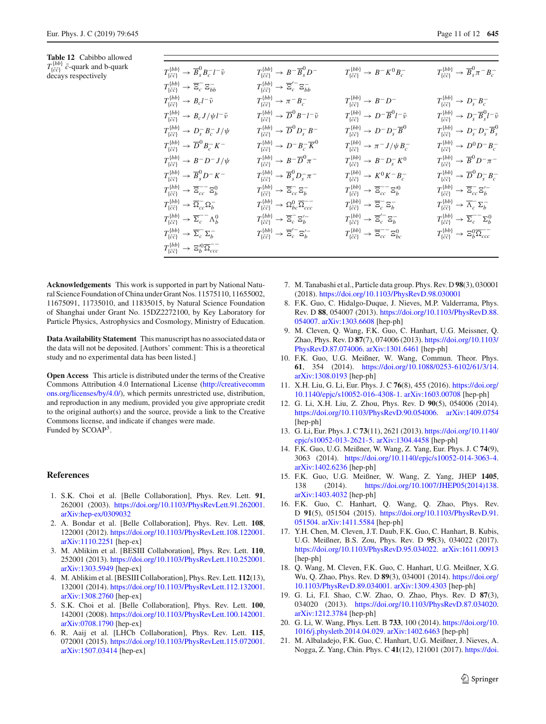<span id="page-10-6"></span>**Table 12** Cabibbo allowed  $T^{\{bb\}}_{\{\bar{c}\bar{c}\}}$  *c*-quark and b-quark<br>decays respectively *T* {*bb*}

| $T_{\{\bar{c}\bar{c}\}}^{ \{bb\}} \rightarrow \overline{B}_s^0 B_c^- l^- \bar{\nu}$        | $T_{\{\bar{c}\bar{c}\}}^{ \{bb\}} \rightarrow B^- \overline{B}^0_s D^-$             | $T_{\{\bar{c}\bar{c}\}}^{ \{bb\}} \to B^- K^0 B_c^-$                                      | $T_{\{\bar{c}\bar{c}\}}^{ \{bb\}} \rightarrow \overline{B}_s^0 \pi^- B_c^-$             |
|--------------------------------------------------------------------------------------------|-------------------------------------------------------------------------------------|-------------------------------------------------------------------------------------------|-----------------------------------------------------------------------------------------|
| $T^{\{bb\}}_{\{\bar c\bar c\}} \to \overline{\Xi}_c^- \Xi_{bb}^-$                          | $T^{\{bb\}}_{\{\bar{c}\bar{c}\}} \rightarrow \overline{\Xi}_c^{\prime-} \Xi_{bb}^-$ |                                                                                           |                                                                                         |
| $T^{\{bb\}}_{\{\bar c\bar c\}}$ $\rightarrow B_c l^-\bar\nu$                               | $T^{\{bb\}}_{\{\bar c\bar c\}}$ $\rightarrow \pi^- B^-_c$                           | $T^{\{bb\}}_{\{\bar{c}\bar{c}\}} \rightarrow B^- D^-$                                     | $T_{\{\bar{c}\bar{c}\}}^{\{bb\}} \to D_s^- B_c^-$                                       |
| $T^{\{bb\}}_{\{\bar c\bar c\}} \to B_c J/\psi l^-\bar\nu$                                  | $T^{\{bb\}}_{\{\bar c\bar c\}} \to \overline{D}^0 B^- l^- \bar{\nu}$                | $T_{\{\bar{c}\bar{c}\}}^{ \{bb\}} \rightarrow D^- \overline{B}^0 l^- \overline{\nu}$      | $T^{\{bb\}}_{\{\bar c\bar c\}} \to D^-_s \overline B^0_s l^-\bar\nu$                    |
| $T_{\{\bar{c}\bar{c}\}}^{\{bb\}} \rightarrow D_s^- B_c^- J/\psi$                           | $T^{\{bb\}}_{\{\bar{c}\bar{c}\}} \rightarrow \overline{D}^0 D_s^- B^-$              | $T^{\{bb\}}_{\{\bar c\bar c\}} \to D^- D^-_s \overline B^0$                               | $T_{\{\bar{c}\bar{c}\}}^{ \{bb\}} \rightarrow D_s^- D_s^- \overline{B}_s^0$             |
| $T^{\{bb\}}_{\{\bar c\bar c\}} \to \overline{D}^0 B^-_c K^-$                               | $T_{\{\bar{c}\bar{c}\}}^{ \{bb\}} \rightarrow D^- B^-_c \overline{K}^0$             | $T^{\{bb\}}_{\{\bar c \bar c\}} \rightarrow \pi^- J/\psi B^-_c$                           | $T_{\{\bar{c}\bar{c}\}}^{ \{bb\} } \to D^0 D^- B^-_c$                                   |
| $T_{\{\bar{c}\bar{c}\}}^{ \{bb\}} \rightarrow B^- D^- J/\psi$                              | $T_{\{\bar{c}\bar{c}\}}^{ \{bb\}} \rightarrow B^- \overline{D}^0 \pi^-$             | $T_{\{\bar c \bar c\}}^{ \{bb\}} \rightarrow B^- D^-_s K^0$                               | $T_{\{\bar{c}\bar{c}\}}^{ \{bb\}} \rightarrow \overline{B}^0 D^- \pi^-$                 |
| $T_{\{\bar c \bar c\}}^{ \{bb\} } \to \overline B^0_s D^- K^-$                             | $T^{\{bb\}}_{\{\bar c \bar c\}} \to \overline{B}^0_s D^-_s \pi^-$                   | $T_{\{\bar{c}\bar{c}\}}^{ \{bb\}} \to K^0 K^- B^-_c$                                      | $T^{\{bb\}}_{\{\bar c \bar c\}} \to \overline{D}^0 D^-_s B^-_c$                         |
| $T^{\{bb\}}_{\{\bar{c}\bar{c}\}} \rightarrow \overline{\Xi}_{cc}^{--} \Xi_b^0$             | $T^{\{bb\}}_{\{\bar c\bar c\}} \to \overline{\Xi}_{cc}^{-} \Xi_b^{-}$               | $T^{\{bb\}}_{\{\bar{c}\bar{c}\}} \rightarrow \overline{\Xi}_{cc}^{--} \Xi_{b}^{\prime 0}$ | $T^{\{bb\}}_{\{\bar c\bar c\}} \rightarrow \overline{\Xi}_{cc}^{-} {\Xi}_{b}^{\prime-}$ |
| $T^{\{bb\}}_{\{\bar c \bar c\}} \to \overline{\Omega}_{cc}^{-} \Omega_{b}^{-}$             | $T^{\{bb\}}_{\{\bar c \bar c\}} \to \Omega_{bc}^0 \overline{\Omega}_{ccc}^{--}$     | $T^{\{bb\}}_{\{\bar c\bar c\}} \rightarrow \overline{\Xi}_c^- \Xi_b^-$                    | $T^{\{bb\}}_{\{\bar c\bar c\}} \to \overline{\Lambda}_c^- \Sigma_b^-$                   |
| $T^{\{bb\}}_{\{\bar c\bar c\}} \to \overline{\Sigma}^{--}_c \Lambda^0_b$                   | $T^{\{bb\}}_{\{\bar c \bar c\}} \to \overline{\Xi}_c^- \Xi_b^{\prime -}$            | $T^{\{bb\}}_{\{\bar c \bar c\}} \to \overline{\Xi}'^-_c \Xi^-_b$                          | $T^{\{bb\}}_{\{\bar{c}\bar{c}\}} \rightarrow \overline{\Sigma}_c^{--} \Sigma_b^0$       |
| $T^{\{bb\}}_{\{\bar c\bar c\}} \to \overline{\Sigma}^-_c \Sigma^-_b$                       | $T^{\{bb\}}_{\{\bar c \bar c\}} \rightarrow \overline{\Xi}'^{-}_{c} \Xi'_{b}^{-}$   | $T_{\{\bar{c}\bar{c}\}}^{\{bb\}} \rightarrow \overline{\Xi}_{cc}^{--} \Xi_{bc}^{0}$       | $T^{\{bb\}}_{\{\bar c \bar c\}} \rightarrow \Xi_b^0 \overline{\Omega}_{ccc}^{--}$       |
| $T^{\{bb\}}_{\{\bar c \bar c\}} \rightarrow \Xi^{\prime 0}_b \overline{\Omega}^{--}_{ccc}$ |                                                                                     |                                                                                           |                                                                                         |
|                                                                                            |                                                                                     |                                                                                           |                                                                                         |

**Acknowledgements** This work is supported in part by National Natural Science Foundation of China under Grant Nos. 11575110, 11655002, 11675091, 11735010, and 11835015, by Natural Science Foundation of Shanghai under Grant No. 15DZ2272100, by Key Laboratory for Particle Physics, Astrophysics and Cosmology, Ministry of Education.

**Data Availability Statement** This manuscript has no associated data or the data will not be deposited. [Authors' comment: This is a theoretical study and no experimental data has been listed.]

**Open Access** This article is distributed under the terms of the Creative Commons Attribution 4.0 International License [\(http://creativecomm](http://creativecommons.org/licenses/by/4.0/) [ons.org/licenses/by/4.0/\)](http://creativecommons.org/licenses/by/4.0/), which permits unrestricted use, distribution, and reproduction in any medium, provided you give appropriate credit to the original author(s) and the source, provide a link to the Creative Commons license, and indicate if changes were made. Funded by SCOAP3.

#### **References**

- <span id="page-10-0"></span>1. S.K. Choi et al. [Belle Collaboration], Phys. Rev. Lett. **91**, 262001 (2003). [https://doi.org/10.1103/PhysRevLett.91.262001.](https://doi.org/10.1103/PhysRevLett.91.262001) [arXiv:hep-ex/0309032](http://arxiv.org/abs/hep-ex/0309032)
- <span id="page-10-3"></span>2. A. Bondar et al. [Belle Collaboration], Phys. Rev. Lett. **108**, 122001 (2012). [https://doi.org/10.1103/PhysRevLett.108.122001.](https://doi.org/10.1103/PhysRevLett.108.122001) [arXiv:1110.2251](http://arxiv.org/abs/1110.2251) [hep-ex]
- 3. M. Ablikim et al. [BESIII Collaboration], Phys. Rev. Lett. **110**, 252001 (2013). [https://doi.org/10.1103/PhysRevLett.110.252001.](https://doi.org/10.1103/PhysRevLett.110.252001) [arXiv:1303.5949](http://arxiv.org/abs/1303.5949) [hep-ex]
- <span id="page-10-4"></span>4. M. Ablikim et al. [BESIII Collaboration], Phys. Rev. Lett. **112**(13), 132001 (2014). [https://doi.org/10.1103/PhysRevLett.112.132001.](https://doi.org/10.1103/PhysRevLett.112.132001) [arXiv:1308.2760](http://arxiv.org/abs/1308.2760) [hep-ex]
- 5. S.K. Choi et al. [Belle Collaboration], Phys. Rev. Lett. **100**, 142001 (2008). [https://doi.org/10.1103/PhysRevLett.100.142001.](https://doi.org/10.1103/PhysRevLett.100.142001) [arXiv:0708.1790](http://arxiv.org/abs/0708.1790) [hep-ex]
- <span id="page-10-1"></span>6. R. Aaij et al. [LHCb Collaboration], Phys. Rev. Lett. **115**, 072001 (2015). [https://doi.org/10.1103/PhysRevLett.115.072001.](https://doi.org/10.1103/PhysRevLett.115.072001) [arXiv:1507.03414](http://arxiv.org/abs/1507.03414) [hep-ex]
- <span id="page-10-2"></span>7. M. Tanabashi et al., Particle data group. Phys. Rev. D **98**(3), 030001 (2018). <https://doi.org/10.1103/PhysRevD.98.030001>
- <span id="page-10-5"></span>8. F.K. Guo, C. Hidalgo-Duque, J. Nieves, M.P. Valderrama, Phys. Rev. D **88**, 054007 (2013). [https://doi.org/10.1103/PhysRevD.88.](https://doi.org/10.1103/PhysRevD.88.054007) [054007.](https://doi.org/10.1103/PhysRevD.88.054007) [arXiv:1303.6608](http://arxiv.org/abs/1303.6608) [hep-ph]
- 9. M. Cleven, Q. Wang, F.K. Guo, C. Hanhart, U.G. Meissner, Q. Zhao, Phys. Rev. D **87**(7), 074006 (2013). [https://doi.org/10.1103/](https://doi.org/10.1103/PhysRevD.87.074006) [PhysRevD.87.074006.](https://doi.org/10.1103/PhysRevD.87.074006) [arXiv:1301.6461](http://arxiv.org/abs/1301.6461) [hep-ph]
- 10. F.K. Guo, U.G. Meißner, W. Wang, Commun. Theor. Phys. **61**, 354 (2014). [https://doi.org/10.1088/0253-6102/61/3/14.](https://doi.org/10.1088/0253-6102/61/3/14) [arXiv:1308.0193](http://arxiv.org/abs/1308.0193) [hep-ph]
- 11. X.H. Liu, G. Li, Eur. Phys. J. C **76**(8), 455 (2016). [https://doi.org/](https://doi.org/10.1140/epjc/s10052-016-4308-1) [10.1140/epjc/s10052-016-4308-1.](https://doi.org/10.1140/epjc/s10052-016-4308-1) [arXiv:1603.00708](http://arxiv.org/abs/1603.00708) [hep-ph]
- 12. G. Li, X.H. Liu, Z. Zhou, Phys. Rev. D **90**(5), 054006 (2014). [https://doi.org/10.1103/PhysRevD.90.054006.](https://doi.org/10.1103/PhysRevD.90.054006) [arXiv:1409.0754](http://arxiv.org/abs/1409.0754) [hep-ph]
- 13. G. Li, Eur. Phys. J. C **73**(11), 2621 (2013). [https://doi.org/10.1140/](https://doi.org/10.1140/epjc/s10052-013-2621-5) [epjc/s10052-013-2621-5.](https://doi.org/10.1140/epjc/s10052-013-2621-5) [arXiv:1304.4458](http://arxiv.org/abs/1304.4458) [hep-ph]
- 14. F.K. Guo, U.G. Meißner, W. Wang, Z. Yang, Eur. Phys. J. C **74**(9), 3063 (2014). [https://doi.org/10.1140/epjc/s10052-014-3063-4.](https://doi.org/10.1140/epjc/s10052-014-3063-4) [arXiv:1402.6236](http://arxiv.org/abs/1402.6236) [hep-ph]
- 15. F.K. Guo, U.G. Meißner, W. Wang, Z. Yang, JHEP **1405**, 138 (2014). [https://doi.org/10.1007/JHEP05\(2014\)138.](https://doi.org/10.1007/JHEP05(2014)138) [arXiv:1403.4032](http://arxiv.org/abs/1403.4032) [hep-ph]
- 16. F.K. Guo, C. Hanhart, Q. Wang, Q. Zhao, Phys. Rev. D **91**(5), 051504 (2015). [https://doi.org/10.1103/PhysRevD.91.](https://doi.org/10.1103/PhysRevD.91.051504) [051504.](https://doi.org/10.1103/PhysRevD.91.051504) [arXiv:1411.5584](http://arxiv.org/abs/1411.5584) [hep-ph]
- 17. Y.H. Chen, M. Cleven, J.T. Daub, F.K. Guo, C. Hanhart, B. Kubis, U.G. Meißner, B.S. Zou, Phys. Rev. D **95**(3), 034022 (2017). [https://doi.org/10.1103/PhysRevD.95.034022.](https://doi.org/10.1103/PhysRevD.95.034022) [arXiv:1611.00913](http://arxiv.org/abs/1611.00913) [hep-ph]
- 18. Q. Wang, M. Cleven, F.K. Guo, C. Hanhart, U.G. Meißner, X.G. Wu, Q. Zhao, Phys. Rev. D **89**(3), 034001 (2014). [https://doi.org/](https://doi.org/10.1103/PhysRevD.89.034001) [10.1103/PhysRevD.89.034001.](https://doi.org/10.1103/PhysRevD.89.034001) [arXiv:1309.4303](http://arxiv.org/abs/1309.4303) [hep-ph]
- 19. G. Li, F.I. Shao, C.W. Zhao, O. Zhao, Phys. Rev. D **87**(3), 034020 (2013). [https://doi.org/10.1103/PhysRevD.87.034020.](https://doi.org/10.1103/PhysRevD.87.034020) [arXiv:1212.3784](http://arxiv.org/abs/1212.3784) [hep-ph]
- 20. G. Li, W. Wang, Phys. Lett. B **733**, 100 (2014). [https://doi.org/10.](https://doi.org/10.1016/j.physletb.2014.04.029) [1016/j.physletb.2014.04.029.](https://doi.org/10.1016/j.physletb.2014.04.029) [arXiv:1402.6463](http://arxiv.org/abs/1402.6463) [hep-ph]
- 21. M. Albaladejo, F.K. Guo, C. Hanhart, U.G. Meißner, J. Nieves, A. Nogga, Z. Yang, Chin. Phys. C **41**(12), 121001 (2017). [https://doi.](https://doi.org/10.1088/1674-1137/41/12/121001)